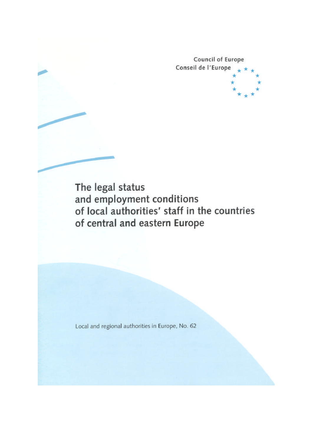**Council of Europe** Conseil de l'Europe

The legal status and employment conditions of local authorities' staff in the countries of central and eastern Europe

Local and regional authorities in Europe, No. 62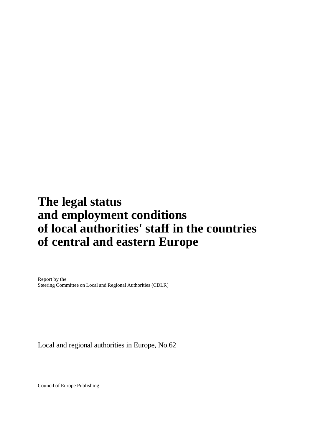# **The legal status and employment conditions of local authorities' staff in the countries of central and eastern Europe**

Report by the Steering Committee on Local and Regional Authorities (CDLR)

Local and regional authorities in Europe, No.62

Council of Europe Publishing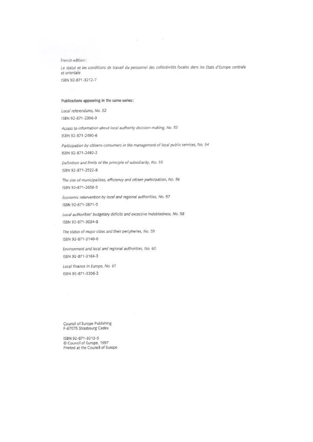French edition:

Le statut et les conditions de travail du personnel des collectivités locales dans les Etats d'Europe centrale et orientale ISBN 92-871-3212-7

control of the

125 C

#### Publications appearing in the same series:

Local referendums, No. 52 ISBN 92-871-2396-9

Access to information about local authority decision-making, No. 53 ISBN 92-871-2490-6

Participation by citizens-consumers in the management of local public services, No. 54 ISBN 92-871-2492-2

Definition and limits of the principle of subsidiarity, No. 55 ISBN 92-871-2522-8

The size of municipalities, efficiency and citizen participation, No. 56 ISBN 92-871-2658-5

Economic intervention by local and regional authorities, No. 57 ISBN 92-871-2871-5

Local authorities' budgetary deficits and excessive indebtedness, No. 58 ISBN 92-871-3034-8

The status of major cities and their peripheries, No. 59 ISBN 92-871-3140-6

Environment and local and regional authorities, No. 60 ISBN 92-871-3164-3

Local finance in Europe, No. 61 ISBN 92-871-3206-2

Council of Europe Publishing F-67075 Strasbourg Cedex

ISBN 92-871-3213-5 Council of Europe, 1997 Printed at the Council of Europe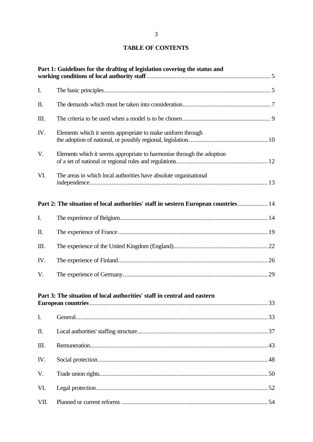# 3

# **TABLE OF CONTENTS**

| Part 1: Guidelines for the drafting of legislation covering the status and |                                                                                    |  |  |
|----------------------------------------------------------------------------|------------------------------------------------------------------------------------|--|--|
| I.                                                                         |                                                                                    |  |  |
| Π.                                                                         |                                                                                    |  |  |
| Ш.                                                                         |                                                                                    |  |  |
| IV.                                                                        | Elements which it seems appropriate to make uniform through                        |  |  |
| V.                                                                         | Elements which it seems appropriate to harmonise through the adoption              |  |  |
| VI.                                                                        | The areas in which local authorities have absolute organisational                  |  |  |
|                                                                            | Part 2: The situation of local authorities' staff in western European countries 14 |  |  |
| I.                                                                         |                                                                                    |  |  |
| Π.                                                                         |                                                                                    |  |  |
| III.                                                                       |                                                                                    |  |  |
| IV.                                                                        |                                                                                    |  |  |
| V.                                                                         |                                                                                    |  |  |
|                                                                            | Part 3: The situation of local authorities' staff in central and eastern           |  |  |
| I.                                                                         |                                                                                    |  |  |
| Π.                                                                         |                                                                                    |  |  |
| Ш.                                                                         |                                                                                    |  |  |
| IV.                                                                        |                                                                                    |  |  |
| V.                                                                         |                                                                                    |  |  |
| VI.                                                                        |                                                                                    |  |  |
| VII.                                                                       |                                                                                    |  |  |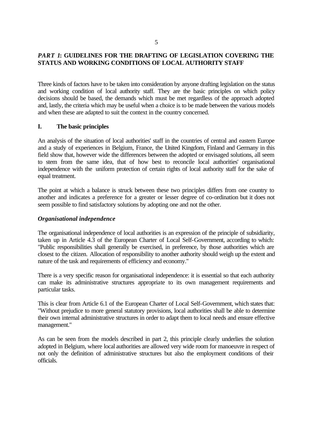# *PART 1***: GUIDELINES FOR THE DRAFTING OF LEGISLATION COVERING THE STATUS AND WORKING CONDITIONS OF LOCAL AUTHORITY STAFF**

Three kinds of factors have to be taken into consideration by anyone drafting legislation on the status and working condition of local authority staff. They are the basic principles on which policy decisions should be based, the demands which must be met regardless of the approach adopted and, lastly, the criteria which may be useful when a choice is to be made between the various models and when these are adapted to suit the context in the country concerned.

### **I. The basic principles**

An analysis of the situation of local authorities' staff in the countries of central and eastern Europe and a study of experiences in Belgium, France, the United Kingdom, Finland and Germany in this field show that, however wide the differences between the adopted or envisaged solutions, all seem to stem from the same idea, that of how best to reconcile local authorities' organisational independence with the uniform protection of certain rights of local authority staff for the sake of equal treatment.

The point at which a balance is struck between these two principles differs from one country to another and indicates a preference for a greater or lesser degree of co-ordination but it does not seem possible to find satisfactory solutions by adopting one and not the other.

### *Organisational independence*

The organisational independence of local authorities is an expression of the principle of subsidiarity, taken up in Article 4.3 of the European Charter of Local Self-Government, according to which: "Public responsibilities shall generally be exercised, in preference, by those authorities which are closest to the citizen. Allocation of responsibility to another authority should weigh up the extent and nature of the task and requirements of efficiency and economy."

There is a very specific reason for organisational independence: it is essential so that each authority can make its administrative structures appropriate to its own management requirements and particular tasks.

This is clear from Article 6.1 of the European Charter of Local Self-Government, which states that: "Without prejudice to more general statutory provisions, local authorities shall be able to determine their own internal administrative structures in order to adapt them to local needs and ensure effective management."

As can be seen from the models described in part 2, this principle clearly underlies the solution adopted in Belgium, where local authorities are allowed very wide room for manoeuvre in respect of not only the definition of administrative structures but also the employment conditions of their officials.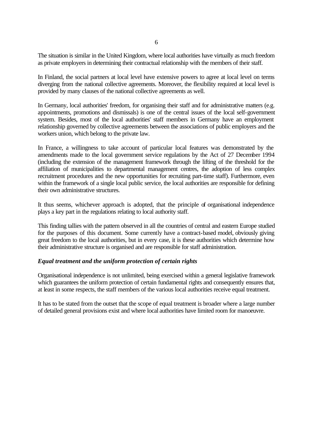The situation is similar in the United Kingdom, where local authorities have virtually as much freedom as private employers in determining their contractual relationship with the members of their staff.

In Finland, the social partners at local level have extensive powers to agree at local level on terms diverging from the national collective agreements. Moreover, the flexibility required at local level is provided by many clauses of the national collective agreements as well.

In Germany, local authorities' freedom, for organising their staff and for administrative matters (e.g. appointments, promotions and dismissals) is one of the central issues of the local self-government system. Besides, most of the local authorities' staff members in Germany have an employment relationship governed by collective agreements between the associations of public employers and the workers union, which belong to the private law.

In France, a willingness to take account of particular local features was demonstrated by the amendments made to the local government service regulations by the Act of 27 December 1994 (including the extension of the management framework through the lifting of the threshold for the affiliation of municipalities to departmental management centres, the adoption of less complex recruitment procedures and the new opportunities for recruiting part-time staff). Furthermore, even within the framework of a single local public service, the local authorities are responsible for defining their own administrative structures.

It thus seems, whichever approach is adopted, that the principle of organisational independence plays a key part in the regulations relating to local authority staff.

This finding tallies with the pattern observed in all the countries of central and eastern Europe studied for the purposes of this document. Some currently have a contract-based model, obviously giving great freedom to the local authorities, but in every case, it is these authorities which determine how their administrative structure is organised and are responsible for staff administration.

## *Equal treatment and the uniform protection of certain rights*

Organisational independence is not unlimited, being exercised within a general legislative framework which guarantees the uniform protection of certain fundamental rights and consequently ensures that, at least in some respects, the staff members of the various local authorities receive equal treatment.

It has to be stated from the outset that the scope of equal treatment is broader where a large number of detailed general provisions exist and where local authorities have limited room for manoeuvre.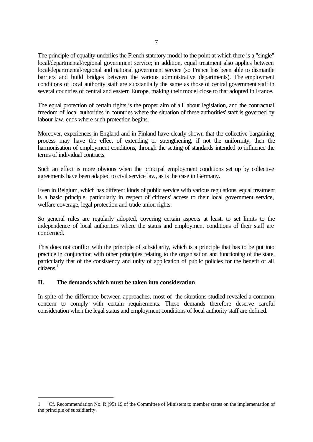The principle of equality underlies the French statutory model to the point at which there is a "single" local/departmental/regional government service; in addition, equal treatment also applies between local/departmental/regional and national government service (so France has been able to dismantle barriers and build bridges between the various administrative departments). The employment conditions of local authority staff are substantially the same as those of central government staff in several countries of central and eastern Europe, making their model close to that adopted in France.

The equal protection of certain rights is the proper aim of all labour legislation, and the contractual freedom of local authorities in countries where the situation of these authorities' staff is governed by labour law, ends where such protection begins.

Moreover, experiences in England and in Finland have clearly shown that the collective bargaining process may have the effect of extending or strengthening, if not the uniformity, then the harmonisation of employment conditions, through the setting of standards intended to influence the terms of individual contracts.

Such an effect is more obvious when the principal employment conditions set up by collective agreements have been adapted to civil service law, as is the case in Germany.

Even in Belgium, which has different kinds of public service with various regulations, equal treatment is a basic principle, particularly in respect of citizens' access to their local government service, welfare coverage, legal protection and trade union rights.

So general rules are regularly adopted, covering certain aspects at least, to set limits to the independence of local authorities where the status and employment conditions of their staff are concerned.

This does not conflict with the principle of subsidiarity, which is a principle that has to be put into practice in conjunction with other principles relating to the organisation and functioning of the state, particularly that of the consistency and unity of application of public policies for the benefit of all  $citizens<sup>1</sup>$ 

# **II. The demands which must be taken into consideration**

j

In spite of the difference between approaches, most of the situations studied revealed a common concern to comply with certain requirements. These demands therefore deserve careful consideration when the legal status and employment conditions of local authority staff are defined.

<sup>1</sup> Cf. Recommendation No. R (95) 19 of the Committee of Ministers to member states on the implementation of the principle of subsidiarity.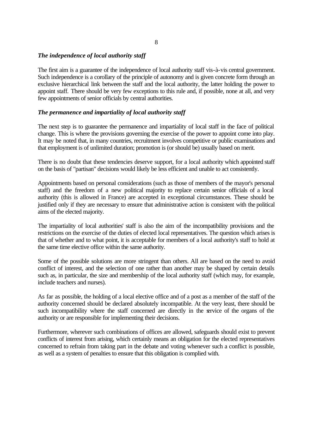## *The independence of local authority staff*

The first aim is a guarantee of the independence of local authority staff vis-à-vis central government. Such independence is a corollary of the principle of autonomy and is given concrete form through an exclusive hierarchical link between the staff and the local authority, the latter holding the power to appoint staff. There should be very few exceptions to this rule and, if possible, none at all, and very few appointments of senior officials by central authorities.

### *The permanence and impartiality of local authority staff*

The next step is to guarantee the permanence and impartiality of local staff in the face of political change. This is where the provisions governing the exercise of the power to appoint come into play. It may be noted that, in many countries, recruitment involves competitive or public examinations and that employment is of unlimited duration; promotion is (or should be) usually based on merit.

There is no doubt that these tendencies deserve support, for a local authority which appointed staff on the basis of "partisan" decisions would likely be less efficient and unable to act consistently.

Appointments based on personal considerations (such as those of members of the mayor's personal staff) and the freedom of a new political majority to replace certain senior officials of a local authority (this is allowed in France) are accepted in exceptional circumstances. These should be justified only if they are necessary to ensure that administrative action is consistent with the political aims of the elected majority.

The impartiality of local authorities' staff is also the aim of the incompatibility provisions and the restrictions on the exercise of the duties of elected local representatives. The question which arises is that of whether and to what point, it is acceptable for members of a local authority's staff to hold at the same time elective office within the same authority.

Some of the possible solutions are more stringent than others. All are based on the need to avoid conflict of interest, and the selection of one rather than another may be shaped by certain details such as, in particular, the size and membership of the local authority staff (which may, for example, include teachers and nurses).

As far as possible, the holding of a local elective office and of a post as a member of the staff of the authority concerned should be declared absolutely incompatible. At the very least, there should be such incompatibility where the staff concerned are directly in the service of the organs of the authority or are responsible for implementing their decisions.

Furthermore, wherever such combinations of offices are allowed, safeguards should exist to prevent conflicts of interest from arising, which certainly means an obligation for the elected representatives concerned to refrain from taking part in the debate and voting whenever such a conflict is possible, as well as a system of penalties to ensure that this obligation is complied with.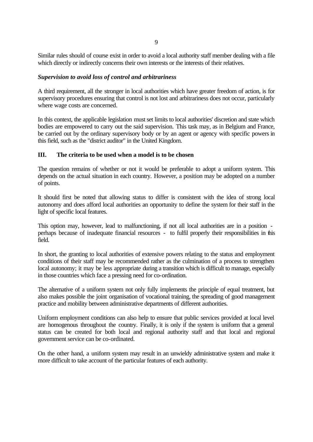Similar rules should of course exist in order to avoid a local authority staff member dealing with a file which directly or indirectly concerns their own interests or the interests of their relatives.

### *Supervision to avoid loss of control and arbitrariness*

A third requirement, all the stronger in local authorities which have greater freedom of action, is for supervisory procedures ensuring that control is not lost and arbitrariness does not occur, particularly where wage costs are concerned.

In this context, the applicable legislation must set limits to local authorities' discretion and state which bodies are empowered to carry out the said supervision. This task may, as in Belgium and France, be carried out by the ordinary supervisory body or by an agent or agency with specific powers in this field, such as the "district auditor" in the United Kingdom.

# **III. The criteria to be used when a model is to be chosen**

The question remains of whether or not it would be preferable to adopt a uniform system. This depends on the actual situation in each country. However, a position may be adopted on a number of points.

It should first be noted that allowing status to differ is consistent with the idea of strong local autonomy and does afford local authorities an opportunity to define the system for their staff in the light of specific local features.

This option may, however, lead to malfunctioning, if not all local authorities are in a position perhaps because of inadequate financial resources - to fulfil properly their responsibilities in this field.

In short, the granting to local authorities of extensive powers relating to the status and employment conditions of their staff may be recommended rather as the culmination of a process to strengthen local autonomy; it may be less appropriate during a transition which is difficult to manage, especially in those countries which face a pressing need for co-ordination.

The alternative of a uniform system not only fully implements the principle of equal treatment, but also makes possible the joint organisation of vocational training, the spreading of good management practice and mobility between administrative departments of different authorities.

Uniform employment conditions can also help to ensure that public services provided at local level are homogenous throughout the country. Finally, it is only if the system is uniform that a general status can be created for both local and regional authority staff and that local and regional government service can be co-ordinated.

On the other hand, a uniform system may result in an unwieldy administrative system and make it more difficult to take account of the particular features of each authority.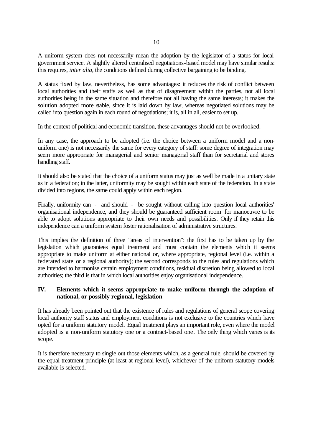A uniform system does not necessarily mean the adoption by the legislator of a status for local government service. A slightly altered centralised negotiations-based model may have similar results: this requires, *inter alia*, the conditions defined during collective bargaining to be binding.

A status fixed by law, nevertheless, has some advantages: it reduces the risk of conflict between local authorities and their staffs as well as that of disagreement within the parties, not all local authorities being in the same situation and therefore not all having the same interests; it makes the solution adopted more stable, since it is laid down by law, whereas negotiated solutions may be called into question again in each round of negotiations; it is, all in all, easier to set up.

In the context of political and economic transition, these advantages should not be overlooked.

In any case, the approach to be adopted (i.e. the choice between a uniform model and a nonuniform one) is not necessarily the same for every category of staff: some degree of integration may seem more appropriate for managerial and senior managerial staff than for secretarial and stores handling staff.

It should also be stated that the choice of a uniform status may just as well be made in a unitary state as in a federation; in the latter, uniformity may be sought within each state of the federation. In a state divided into regions, the same could apply within each region.

Finally, uniformity can - and should - be sought without calling into question local authorities' organisational independence, and they should be guaranteed sufficient room for manoeuvre to be able to adopt solutions appropriate to their own needs and possibilities. Only if they retain this independence can a uniform system foster rationalisation of administrative structures.

This implies the definition of three "areas of intervention": the first has to be taken up by the legislation which guarantees equal treatment and must contain the elements which it seems appropriate to make uniform at either national or, where appropriate, regional level (i.e. within a federated state or a regional authority); the second corresponds to the rules and regulations which are intended to harmonise certain employment conditions, residual discretion being allowed to local authorities; the third is that in which local authorities enjoy organisational independence.

# **IV. Elements which it seems appropriate to make uniform through the adoption of national, or possibly regional, legislation**

It has already been pointed out that the existence of rules and regulations of general scope covering local authority staff status and employment conditions is not exclusive to the countries which have opted for a uniform statutory model. Equal treatment plays an important role, even where the model adopted is a non-uniform statutory one or a contract-based one. The only thing which varies is its scope.

It is therefore necessary to single out those elements which, as a general rule, should be covered by the equal treatment principle (at least at regional level), whichever of the uniform statutory models available is selected.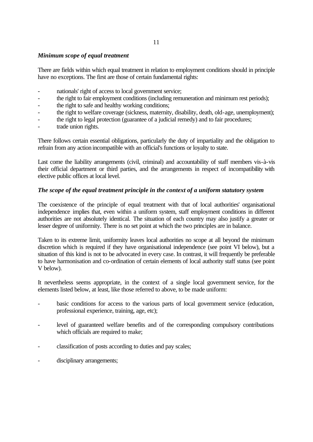# *Minimum scope of equal treatment*

There are fields within which equal treatment in relation to employment conditions should in principle have no exceptions. The first are those of certain fundamental rights:

- nationals' right of access to local government service;
- the right to fair employment conditions (including remuneration and minimum rest periods);
- the right to safe and healthy working conditions;
- the right to welfare coverage (sickness, maternity, disability, death, old-age, unemployment);
- the right to legal protection (guarantee of a judicial remedy) and to fair procedures;
- trade union rights.

There follows certain essential obligations, particularly the duty of impartiality and the obligation to refrain from any action incompatible with an official's functions or loyalty to state.

Last come the liability arrangements (civil, criminal) and accountability of staff members vis-à-vis their official department or third parties, and the arrangements in respect of incompatibility with elective public offices at local level.

# *The scope of the equal treatment principle in the context of a uniform statutory system*

The coexistence of the principle of equal treatment with that of local authorities' organisational independence implies that, even within a uniform system, staff employment conditions in different authorities are not absolutely identical. The situation of each country may also justify a greater or lesser degree of uniformity. There is no set point at which the two principles are in balance.

Taken to its extreme limit, uniformity leaves local authorities no scope at all beyond the minimum discretion which is required if they have organisational independence (see point VI below), but a situation of this kind is not to be advocated in every case. In contrast, it will frequently be preferable to have harmonisation and co-ordination of certain elements of local authority staff status (see point V below).

It nevertheless seems appropriate, in the context of a single local government service, for the elements listed below, at least, like those referred to above, to be made uniform:

- basic conditions for access to the various parts of local government service (education, professional experience, training, age, etc);
- level of guaranteed welfare benefits and of the corresponding compulsory contributions which officials are required to make;
- classification of posts according to duties and pay scales;
- disciplinary arrangements;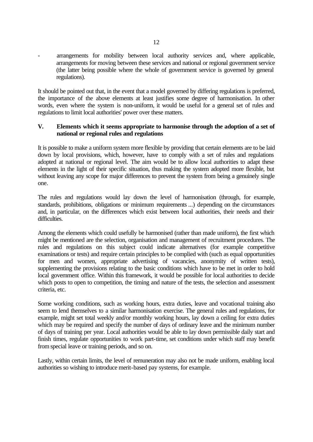- arrangements for mobility between local authority services and, where applicable, arrangements for moving between these services and national or regional government service (the latter being possible where the whole of government service is governed by general regulations).

It should be pointed out that, in the event that a model governed by differing regulations is preferred, the importance of the above elements at least justifies some degree of harmonisation. In other words, even where the system is non-uniform, it would be useful for a general set of rules and regulations to limit local authorities' power over these matters.

# **V. Elements which it seems appropriate to harmonise through the adoption of a set of national or regional rules and regulations**

It is possible to make a uniform system more flexible by providing that certain elements are to be laid down by local provisions, which, however, have to comply with a set of rules and regulations adopted at national or regional level. The aim would be to allow local authorities to adapt these elements in the light of their specific situation, thus making the system adopted more flexible, but without leaving any scope for major differences to prevent the system from being a genuinely single one.

The rules and regulations would lay down the level of harmonisation (through, for example, standards, prohibitions, obligations or minimum requirements ...) depending on the circumstances and, in particular, on the differences which exist between local authorities, their needs and their difficulties.

Among the elements which could usefully be harmonised (rather than made uniform), the first which might be mentioned are the selection, organisation and management of recruitment procedures. The rules and regulations on this subject could indicate alternatives (for example competitive examinations or tests) and require certain principles to be complied with (such as equal opportunities for men and women, appropriate advertising of vacancies, anonymity of written tests), supplementing the provisions relating to the basic conditions which have to be met in order to hold local government office. Within this framework, it would be possible for local authorities to decide which posts to open to competition, the timing and nature of the tests, the selection and assessment criteria, etc.

Some working conditions, such as working hours, extra duties, leave and vocational training also seem to lend themselves to a similar harmonisation exercise. The general rules and regulations, for example, might set total weekly and/or monthly working hours, lay down a ceiling for extra duties which may be required and specify the number of days of ordinary leave and the minimum number of days of training per year. Local authorities would be able to lay down permissible daily start and finish times, regulate opportunities to work part-time, set conditions under which staff may benefit from special leave or training periods, and so on.

Lastly, within certain limits, the level of remuneration may also not be made uniform, enabling local authorities so wishing to introduce merit-based pay systems, for example.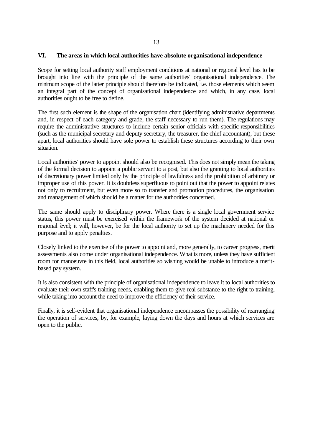### **VI. The areas in which local authorities have absolute organisational independence**

Scope for setting local authority staff employment conditions at national or regional level has to be brought into line with the principle of the same authorities' organisational independence. The minimum scope of the latter principle should therefore be indicated, i.e. those elements which seem an integral part of the concept of organisational independence and which, in any case, local authorities ought to be free to define.

The first such element is the shape of the organisation chart (identifying administrative departments and, in respect of each category and grade, the staff necessary to run them). The regulations may require the administrative structures to include certain senior officials with specific responsibilities (such as the municipal secretary and deputy secretary, the treasurer, the chief accountant), but these apart, local authorities should have sole power to establish these structures according to their own situation.

Local authorities' power to appoint should also be recognised. This does not simply mean the taking of the formal decision to appoint a public servant to a post, but also the granting to local authorities of discretionary power limited only by the principle of lawfulness and the prohibition of arbitrary or improper use of this power. It is doubtless superfluous to point out that the power to appoint relates not only to recruitment, but even more so to transfer and promotion procedures, the organisation and management of which should be a matter for the authorities concerned.

The same should apply to disciplinary power. Where there is a single local government service status, this power must be exercised within the framework of the system decided at national or regional evel; it will, however, be for the local authority to set up the machinery needed for this purpose and to apply penalties.

Closely linked to the exercise of the power to appoint and, more generally, to career progress, merit assessments also come under organisational independence. What is more, unless they have sufficient room for manoeuvre in this field, local authorities so wishing would be unable to introduce a meritbased pay system.

It is also consistent with the principle of organisational independence to leave it to local authorities to evaluate their own staff's training needs, enabling them to give real substance to the right to training, while taking into account the need to improve the efficiency of their service.

Finally, it is self-evident that organisational independence encompasses the possibility of rearranging the operation of services, by, for example, laying down the days and hours at which services are open to the public.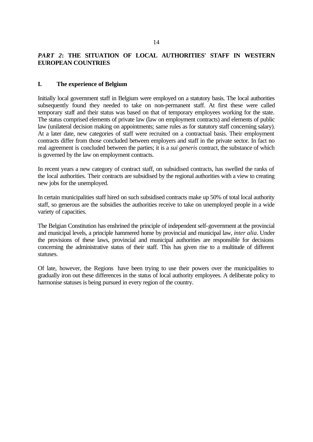# *PART 2***: THE SITUATION OF LOCAL AUTHORITIES' STAFF IN WESTERN EUROPEAN COUNTRIES**

# **I. The experience of Belgium**

Initially local government staff in Belgium were employed on a statutory basis. The local authorities subsequently found they needed to take on non-permanent staff. At first these were called temporary staff and their status was based on that of temporary employees working for the state. The status comprised elements of private law (law on employment contracts) and elements of public law (unilateral decision making on appointments; same rules as for statutory staff concerning salary). At a later date, new categories of staff were recruited on a contractual basis. Their employment contracts differ from those concluded between employers and staff in the private sector. In fact no real agreement is concluded between the parties; it is a *sui generis* contract, the substance of which is governed by the law on employment contracts.

In recent years a new category of contract staff, on subsidised contracts, has swelled the ranks of the local authorities. Their contracts are subsidised by the regional authorities with a view to creating new jobs for the unemployed.

In certain municipalities staff hired on such subsidised contracts make up 50% of total local authority staff, so generous are the subsidies the authorities receive to take on unemployed people in a wide variety of capacities.

The Belgian Constitution has enshrined the principle of independent self-government at the provincial and municipal levels, a principle hammered home by provincial and municipal law, *inter alia*. Under the provisions of these laws, provincial and municipal authorities are responsible for decisions concerning the administrative status of their staff. This has given rise to a multitude of different statuses.

Of late, however, the Regions have been trying to use their powers over the municipalities to gradually iron out these differences in the status of local authority employees. A deliberate policy to harmonise statuses is being pursued in every region of the country.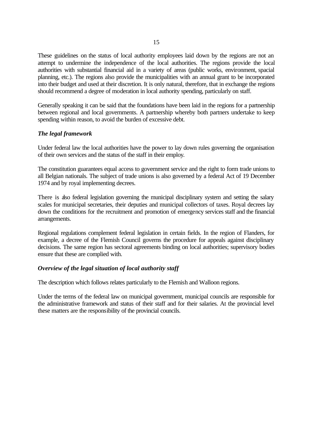These guidelines on the status of local authority employees laid down by the regions are not an attempt to undermine the independence of the local authorities. The regions provide the local authorities with substantial financial aid in a variety of areas (public works, environment, spacial planning, etc.). The regions also provide the municipalities with an annual grant to be incorporated into their budget and used at their discretion. It is only natural, therefore, that in exchange the regions should recommend a degree of moderation in local authority spending, particularly on staff.

Generally speaking it can be said that the foundations have been laid in the regions for a partnership between regional and local governments. A partnership whereby both partners undertake to keep spending within reason, to avoid the burden of excessive debt.

### *The legal framework*

Under federal law the local authorities have the power to lay down rules governing the organisation of their own services and the status of the staff in their employ.

The constitution guarantees equal access to government service and the right to form trade unions to all Belgian nationals. The subject of trade unions is also governed by a federal Act of 19 December 1974 and by royal implementing decrees.

There is also federal legislation governing the municipal disciplinary system and setting the salary scales for municipal secretaries, their deputies and municipal collectors of taxes. Royal decrees lay down the conditions for the recruitment and promotion of emergency services staff and the financial arrangements.

Regional regulations complement federal legislation in certain fields. In the region of Flanders, for example, a decree of the Flemish Council governs the procedure for appeals against disciplinary decisions. The same region has sectoral agreements binding on local authorities; supervisory bodies ensure that these are complied with.

### *Overview of the legal situation of local authority staff*

The description which follows relates particularly to the Flemish and Walloon regions.

Under the terms of the federal law on municipal government, municipal councils are responsible for the administrative framework and status of their staff and for their salaries. At the provincial level these matters are the responsibility of the provincial councils.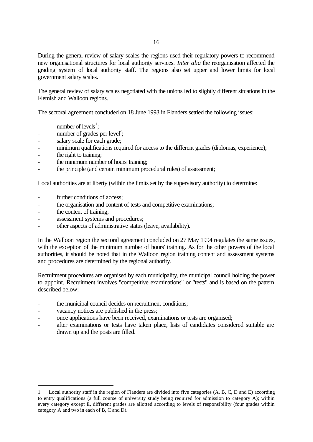During the general review of salary scales the regions used their regulatory powers to recommend new organisational structures for local authority services. *Inter alia* the reorganisation affected the grading system of local authority staff. The regions also set upper and lower limits for local government salary scales.

The general review of salary scales negotiated with the unions led to slightly different situations in the Flemish and Walloon regions.

The sectoral agreement concluded on 18 June 1993 in Flanders settled the following issues:

- number of levels<sup>1</sup>;
- number of grades per level<sup>2</sup>;
- salary scale for each grade;
- minimum qualifications required for access to the different grades (diplomas, experience);
- the right to training;
- the minimum number of hours' training;
- the principle (and certain minimum procedural rules) of assessment;

Local authorities are at liberty (within the limits set by the supervisory authority) to determine:

- further conditions of access;
- the organisation and content of tests and competitive examinations;
- the content of training;

j

- assessment systems and procedures;
- other aspects of administrative status (leave, availability).

In the Walloon region the sectoral agreement concluded on 27 May 1994 regulates the same issues, with the exception of the minimum number of hours' training. As for the other powers of the local authorities, it should be noted that in the Walloon region training content and assessment systems and procedures are determined by the regional authority.

Recruitment procedures are organised by each municipality, the municipal council holding the power to appoint. Recruitment involves "competitive examinations" or "tests" and is based on the pattern described below:

- the municipal council decides on recruitment conditions;
- vacancy notices are published in the press;
- once applications have been received, examinations or tests are organised;
- after examinations or tests have taken place, lists of candidates considered suitable are drawn up and the posts are filled.

<sup>1</sup> Local authority staff in the region of Flanders are divided into five categories (A, B, C, D and E) according to entry qualifications (a full course of university study being required for admission to category A); within every category except E, different grades are allotted according to levels of responsibility (four grades within category A and two in each of B, C and D).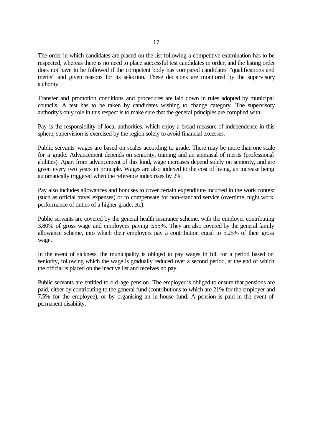The order in which candidates are placed on the list following a competitive examination has to be respected, whereas there is no need to place successful test candidates in order, and the listing order does not have to be followed if the competent body has compared candidates' "qualifications and merits" and given reasons for its selection. These decisions are monitored by the supervisory authority.

Transfer and promotion conditions and procedures are laid down in rules adopted by municipal councils. A test has to be taken by candidates wishing to change category. The supervisory authority's only role in this respect is to make sure that the general principles are complied with.

Pay is the responsibility of local authorities, which enjoy a broad measure of independence in this sphere; supervision is exercised by the region solely to avoid financial excesses.

Public servants' wages are based on scales according to grade. There may be more than one scale for a grade. Advancement depends on seniority, training and an appraisal of merits (professional abilities). Apart from advancement of this kind, wage increases depend solely on seniority, and are given every two years in principle. Wages are also indexed to the cost of living, an increase being automatically triggered when the reference index rises by 2%.

Pay also includes allowances and bonuses to cover certain expenditure incurred in the work context (such as official travel expenses) or to compensate for non-standard service (overtime, night work, performance of duties of a higher grade, etc).

Public servants are covered by the general health insurance scheme, with the employer contributing 3.80% of gross wage and employees paying 3.55%. They are also covered by the general family allowance scheme, into which their employers pay a contribution equal to 5.25% of their gross wage.

In the event of sickness, the municipality is obliged to pay wages in full for a period based on seniority, following which the wage is gradually reduced over a second period, at the end of which the official is placed on the inactive list and receives no pay.

Public servants are entitled to old-age pension. The employer is obliged to ensure that pensions are paid, either by contributing to the general fund (contributions to which are 21% for the employer and 7.5% for the employee), or by organising an in-house fund. A pension is paid in the event of permanent disability.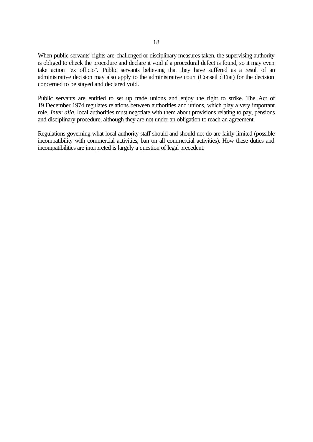When public servants' rights are challenged or disciplinary measures taken, the supervising authority is obliged to check the procedure and declare it void if a procedural defect is found, so it may even take action "ex officio". Public servants believing that they have suffered as a result of an administrative decision may also apply to the administrative court (Conseil d'Etat) for the decision concerned to be stayed and declared void.

Public servants are entitled to set up trade unions and enjoy the right to strike. The Act of 19 December 1974 regulates relations between authorities and unions, which play a very important role. *Inter alia*, local authorities must negotiate with them about provisions relating to pay, pensions and disciplinary procedure, although they are not under an obligation to reach an agreement.

Regulations governing what local authority staff should and should not do are fairly limited (possible incompatibility with commercial activities, ban on all commercial activities). How these duties and incompatibilities are interpreted is largely a question of legal precedent.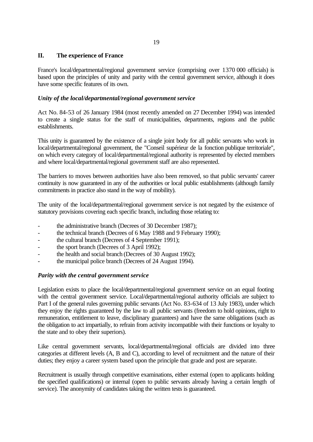# **II. The experience of France**

France's local/departmental/regional government service (comprising over 1370 000 officials) is based upon the principles of unity and parity with the central government service, although it does have some specific features of its own.

# *Unity of the local/departmental/regional government service*

Act No. 84-53 of 26 January 1984 (most recently amended on 27 December 1994) was intended to create a single status for the staff of municipalities, departments, regions and the public establishments.

This unity is guaranteed by the existence of a single joint body for all public servants who work in local/departmental/regional government, the "Conseil supérieur de la fonction publique territoriale", on which every category of local/departmental/regional authority is represented by elected members and where local/departmental/regional government staff are also represented.

The barriers to moves between authorities have also been removed, so that public servants' career continuity is now guaranteed in any of the authorities or local public establishments (although family commitments in practice also stand in the way of mobility).

The unity of the local/departmental/regional government service is not negated by the existence of statutory provisions covering each specific branch, including those relating to:

- the administrative branch (Decrees of 30 December 1987);
- the technical branch (Decrees of 6 May 1988 and 9 February 1990);
- the cultural branch (Decrees of 4 September 1991);
- the sport branch (Decrees of 3 April 1992);
- the health and social branch (Decrees of 30 August 1992);
- the municipal police branch (Decrees of 24 August 1994).

# *Parity with the central government service*

Legislation exists to place the local/departmental/regional government service on an equal footing with the central government service. Local/departmental/regional authority officials are subject to Part I of the general rules governing public servants (Act No. 83-634 of 13 July 1983), under which they enjoy the rights guaranteed by the law to all public servants (freedom to hold opinions, right to remuneration, entitlement to leave, disciplinary guarantees) and have the same obligations (such as the obligation to act impartially, to refrain from activity incompatible with their functions or loyalty to the state and to obey their superiors).

Like central government servants, local/departmental/regional officials are divided into three categories at different levels (A, B and C), according to level of recruitment and the nature of their duties; they enjoy a career system based upon the principle that grade and post are separate.

Recruitment is usually through competitive examinations, either external (open to applicants holding the specified qualifications) or internal (open to public servants already having a certain length of service). The anonymity of candidates taking the written tests is guaranteed.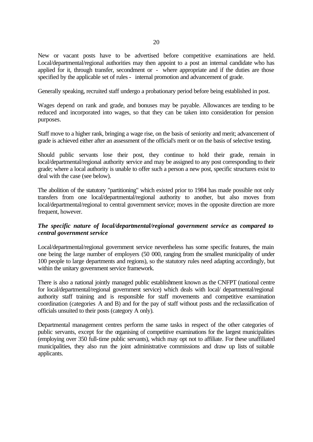New or vacant posts have to be advertised before competitive examinations are held. Local/departmental/regional authorities may then appoint to a post an internal candidate who has applied for it, through transfer, secondment or - where appropriate and if the duties are those specified by the applicable set of rules - internal promotion and advancement of grade.

Generally speaking, recruited staff undergo a probationary period before being established in post.

Wages depend on rank and grade, and bonuses may be payable. Allowances are tending to be reduced and incorporated into wages, so that they can be taken into consideration for pension purposes.

Staff move to a higher rank, bringing a wage rise, on the basis of seniority and merit; advancement of grade is achieved either after an assessment of the official's merit or on the basis of selective testing.

Should public servants lose their post, they continue to hold their grade, remain in local/departmental/regional authority service and may be assigned to any post corresponding to their grade; where a local authority is unable to offer such a person a new post, specific structures exist to deal with the case (see below).

The abolition of the statutory "partitioning" which existed prior to 1984 has made possible not only transfers from one local/departmental/regional authority to another, but also moves from local/departmental/regional to central government service; moves in the opposite direction are more frequent, however.

# *The specific nature of local/departmental/regional government service as compared to central government service*

Local/departmental/regional government service nevertheless has some specific features, the main one being the large number of employers (50 000, ranging from the smallest municipality of under 100 people to large departments and regions), so the statutory rules need adapting accordingly, but within the unitary government service framework.

There is also a national jointly managed public establishment known as the CNFPT (national centre for local/departmental/regional government service) which deals with local/ departmental/regional authority staff training and is responsible for staff movements and competitive examination coordination (categories A and B) and for the pay of staff without posts and the reclassification of officials unsuited to their posts (category A only).

Departmental management centres perform the same tasks in respect of the other categories of public servants, except for the organising of competitive examinations for the largest municipalities (employing over 350 full-time public servants), which may opt not to affiliate. For these unaffiliated municipalities, they also run the joint administrative commissions and draw up lists of suitable applicants.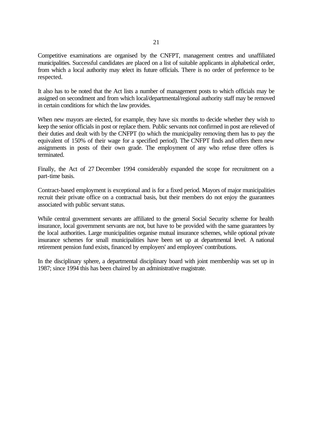Competitive examinations are organised by the CNFPT, management centres and unaffiliated municipalities. Successful candidates are placed on a list of suitable applicants in alphabetical order, from which a local authority may select its future officials. There is no order of preference to be respected.

It also has to be noted that the Act lists a number of management posts to which officials may be assigned on secondment and from which local/departmental/regional authority staff may be removed in certain conditions for which the law provides.

When new mayors are elected, for example, they have six months to decide whether they wish to keep the senior officials in post or replace them. Public servants not confirmed in post are relieved of their duties and dealt with by the CNFPT (to which the municipality removing them has to pay the equivalent of 150% of their wage for a specified period). The CNFPT finds and offers them new assignments in posts of their own grade. The employment of any who refuse three offers is terminated.

Finally, the Act of 27 December 1994 considerably expanded the scope for recruitment on a part-time basis.

Contract-based employment is exceptional and is for a fixed period. Mayors of major municipalities recruit their private office on a contractual basis, but their members do not enjoy the guarantees associated with public servant status.

While central government servants are affiliated to the general Social Security scheme for health insurance, local government servants are not, but have to be provided with the same guarantees by the local authorities. Large municipalities organise mutual insurance schemes, while optional private insurance schemes for small municipalities have been set up at departmental level. A national retirement pension fund exists, financed by employers' and employees' contributions.

In the disciplinary sphere, a departmental disciplinary board with joint membership was set up in 1987; since 1994 this has been chaired by an administrative magistrate.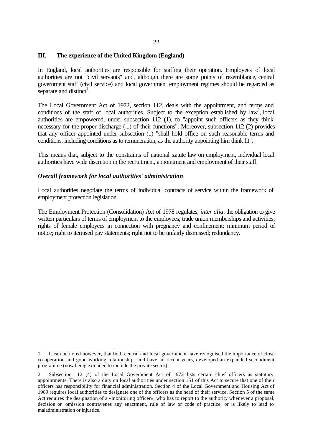## **III. The experience of the United Kingdom (England)**

In England, local authorities are responsible for staffing their operation. Employees of local authorities are not "civil servants" and, although there are some points of resemblance, central government staff (civil service) and local government employment regimes should be regarded as separate and distinct<sup>1</sup>.

The Local Government Act of 1972, section 112, deals with the appointment, and terms and conditions of the staff of local authorities. Subject to the exception established by  $\text{law}^2$ , local authorities are empowered, under subsection 112 (1), to "appoint such officers as they think necessary for the proper discharge (...) of their functions". Moreover, subsection 112 (2) provides that any officer appointed under subsection (1) "shall hold office on such reasonable terms and conditions, including conditions as to remuneration, as the authority appointing him think fit".

This means that, subject to the constraints of national statute law on employment, individual local authorities have wide discretion in the recruitment, appointment and employment of their staff.

### *Overall framework for local authorities' administration*

j

Local authorities negotiate the terms of individual contracts of service within the framework of employment protection legislation.

The Employment Protection (Consolidation) Act of 1978 regulates, *inter alia*: the obligation to give written particulars of terms of employment to the employees; trade union memberships and activities; rights of female employees in connection with pregnancy and confinement; minimum period of notice; right to itemised pay statements; right not to be unfairly dismissed; redundancy.

<sup>1</sup> It can be noted however, that both central and local government have recognised the importance of close co-operation and good working relationships and have, in recent years, developed an expanded secondment programme (now being extended to include the private sector).

<sup>2</sup> Subsection 112 (4) of the Local Government Act of 1972 lists certain chief officers as statutory appointments. There is also a duty on local authorities under section 151 of this Act to secure that one of their officers has responsibility for financial administration. Section 4 of the Local Government and Housing Act of 1989 requires local authorities to designate one of the officers as the head of their service. Section 5 of the same Act requires the designation of a «monitoring officer», who has to report to the authority whenever a proposal, decision or omission contravenes any enactment, rule of law or code of practice, or is likely to lead to maladministration or injustice.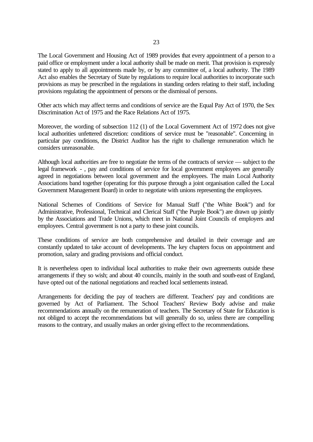The Local Government and Housing Act of 1989 provides that every appointment of a person to a paid office or employment under a local authority shall be made on merit. That provision is expressly stated to apply to all appointments made by, or by any committee of, a local authority. The 1989 Act also enables the Secretary of State by regulations to require local authorities to incorporate such provisions as may be prescribed in the regulations in standing orders relating to their staff, including provisions regulating the appointment of persons or the dismissal of persons.

Other acts which may affect terms and conditions of service are the Equal Pay Act of 1970, the Sex Discrimination Act of 1975 and the Race Relations Act of 1975.

Moreover, the wording of subsection 112 (1) of the Local Government Act of 1972 does not give local authorities unfettered discretion: conditions of service must be "reasonable". Concerning in particular pay conditions, the District Auditor has the right to challenge remuneration which he considers unreasonable.

Although local authorities are free to negotiate the terms of the contracts of service — subject to the legal framework - , pay and conditions of service for local government employees are generally agreed in negotiations between local government and the employees. The main Local Authority Associations band together (operating for this purpose through a joint organisation called the Local Government Management Board) in order to negotiate with unions representing the employees.

National Schemes of Conditions of Service for Manual Staff ("the White Book") and for Administrative, Professional, Technical and Clerical Staff ("the Purple Book") are drawn up jointly by the Associations and Trade Unions, which meet in National Joint Councils of employers and employees. Central government is not a party to these joint councils.

These conditions of service are both comprehensive and detailed in their coverage and are constantly updated to take account of developments. The key chapters focus on appointment and promotion, salary and grading provisions and official conduct.

It is nevertheless open to individual local authorities to make their own agreements outside these arrangements if they so wish; and about 40 councils, mainly in the south and south-east of England, have opted out of the national negotiations and reached local settlements instead.

Arrangements for deciding the pay of teachers are different. Teachers' pay and conditions are governed by Act of Parliament. The School Teachers' Review Body advise and make recommendations annually on the remuneration of teachers. The Secretary of State for Education is not obliged to accept the recommendations but will generally do so, unless there are compelling reasons to the contrary, and usually makes an order giving effect to the recommendations.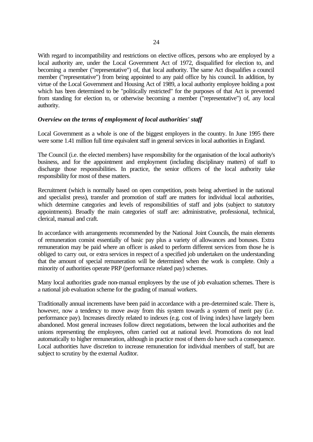With regard to incompatibility and restrictions on elective offices, persons who are employed by a local authority are, under the Local Government Act of 1972, disqualified for election to, and becoming a member ("representative") of, that local authority. The same Act disqualifies a council member ("representative") from being appointed to any paid office by his council. In addition, by virtue of the Local Government and Housing Act of 1989, a local authority employee holding a post which has been determined to be "politically restricted" for the purposes of that Act is prevented from standing for election to, or otherwise becoming a member ("representative") of, any local authority.

## *Overview on the terms of employment of local authorities' staff*

Local Government as a whole is one of the biggest employers in the country. In June 1995 there were some 1.41 million full time equivalent staff in general services in local authorities in England.

The Council (i.e. the elected members) have responsibility for the organisation of the local authority's business, and for the appointment and employment (including disciplinary matters) of staff to discharge those responsibilities. In practice, the senior officers of the local authority take responsibility for most of these matters.

Recruitment (which is normally based on open competition, posts being advertised in the national and specialist press), transfer and promotion of staff are matters for individual local authorities, which determine categories and levels of responsibilities of staff and jobs (subject to statutory appointments). Broadly the main categories of staff are: administrative, professional, technical, clerical, manual and craft.

In accordance with arrangements recommended by the National Joint Councils, the main elements of remuneration consist essentially of basic pay plus a variety of allowances and bonuses. Extra remuneration may be paid where an officer is asked to perform different services from those he is obliged to carry out, or extra services in respect of a specified job undertaken on the understanding that the amount of special remuneration will be determined when the work is complete. Only a minority of authorities operate PRP (performance related pay) schemes.

Many local authorities grade non-manual employees by the use of job evaluation schemes. There is a national job evaluation scheme for the grading of manual workers.

Traditionally annual increments have been paid in accordance with a pre-determined scale. There is, however, now a tendency to move away from this system towards a system of merit pay (i.e. performance pay). Increases directly related to indexes (e.g. cost of living index) have largely been abandoned. Most general increases follow direct negotiations, between the local authorities and the unions representing the employees, often carried out at national level. Promotions do not lead automatically to higher remuneration, although in practice most of them do have such a consequence. Local authorities have discretion to increase remuneration for individual members of staff, but are subject to scrutiny by the external Auditor.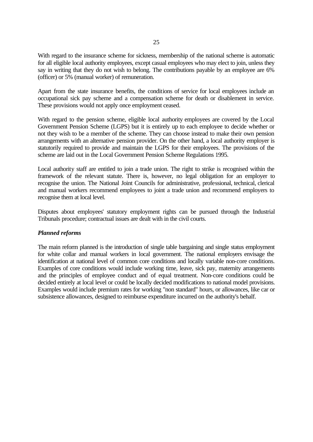With regard to the insurance scheme for sickness, membership of the national scheme is automatic for all eligible local authority employees, except casual employees who may elect to join, unless they say in writing that they do not wish to belong. The contributions payable by an employee are 6% (officer) or 5% (manual worker) of remuneration.

Apart from the state insurance benefits, the conditions of service for local employees include an occupational sick pay scheme and a compensation scheme for death or disablement in service. These provisions would not apply once employment ceased.

With regard to the pension scheme, eligible local authority employees are covered by the Local Government Pension Scheme (LGPS) but it is entirely up to each employee to decide whether or not they wish to be a member of the scheme. They can choose instead to make their own pension arrangements with an alternative pension provider. On the other hand, a local authority employer is statutorily required to provide and maintain the LGPS for their employees. The provisions of the scheme are laid out in the Local Government Pension Scheme Regulations 1995.

Local authority staff are entitled to join a trade union. The right to strike is recognised within the framework of the relevant statute. There is, however, no legal obligation for an employer to recognise the union. The National Joint Councils for administrative, professional, technical, clerical and manual workers recommend employees to joint a trade union and recommend employers to recognise them at local level.

Disputes about employees' statutory employment rights can be pursued through the Industrial Tribunals procedure; contractual issues are dealt with in the civil courts.

### *Planned reforms*

The main reform planned is the introduction of single table bargaining and single status employment for white collar and manual workers in local government. The national employers envisage the identification at national level of common core conditions and locally variable non-core conditions. Examples of core conditions would include working time, leave, sick pay, maternity arrangements and the principles of employee conduct and of equal treatment. Non-core conditions could be decided entirely at local level or could be locally decided modifications to national model provisions. Examples would include premium rates for working "non standard" hours, or allowances, like car or subsistence allowances, designed to reimburse expenditure incurred on the authority's behalf.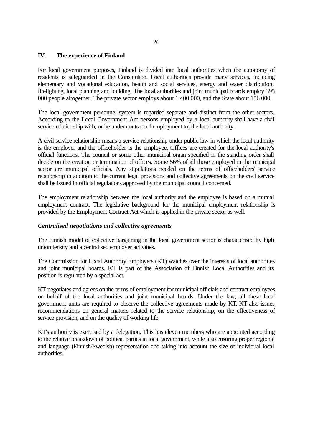# **IV. The experience of Finland**

For local government purposes, Finland is divided into local authorities when the autonomy of residents is safeguarded in the Constitution. Local authorities provide many services, including elementary and vocational education, health and social services, energy and water distribution, firefighting, local planning and building. The local authorities and joint municipal boards employ 395 000 people altogether. The private sector employs about 1 400 000, and the State about 156 000.

The local government personnel system is regarded separate and distinct from the other sectors. According to the Local Government Act persons employed by a local authority shall have a civil service relationship with, or be under contract of employment to, the local authority.

A civil service relationship means a service relationship under public law in which the local authority is the employer and the officeholder is the employee. Offices are created for the local authority's official functions. The council or some other municipal organ specified in the standing order shall decide on the creation or termination of offices. Some 56% of all those employed in the municipal sector are municipal officials. Any stipulations needed on the terms of officeholders' service relationship in addition to the current legal provisions and collective agreements on the civil service shall be issued in official regulations approved by the municipal council concerned.

The employment relationship between the local authority and the employee is based on a mutual employment contract. The legislative background for the municipal employment relationship is provided by the Employment Contract Act which is applied in the private sector as well.

# *Centralised negotiations and collective agreements*

The Finnish model of collective bargaining in the local government sector is characterised by high union tensity and a centralised employer activities.

The Commission for Local Authority Employers (KT) watches over the interests of local authorities and joint municipal boards. KT is part of the Association of Finnish Local Authorities and its position is regulated by a special act.

KT negotiates and agrees on the terms of employment for municipal officials and contract employees on behalf of the local authorities and joint municipal boards. Under the law, all these local government units are required to observe the collective agreements made by KT. KT also issues recommendations on general matters related to the service relationship, on the effectiveness of service provision, and on the quality of working life.

KT's authority is exercised by a delegation. This has eleven members who are appointed according to the relative breakdown of political parties in local government, while also ensuring proper regional and language (Finnish/Swedish) representation and taking into account the size of individual local authorities.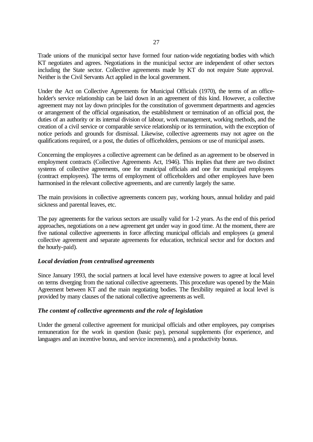Trade unions of the municipal sector have formed four nation-wide negotiating bodies with which KT negotiates and agrees. Negotiations in the municipal sector are independent of other sectors including the State sector. Collective agreements made by KT do not require State approval. Neither is the Civil Servants Act applied in the local government.

Under the Act on Collective Agreements for Municipal Officials (1970), the terms of an officeholder's service relationship can be laid down in an agreement of this kind. However, a collective agreement may not lay down principles for the constitution of government departments and agencies or arrangement of the official organisation, the establishment or termination of an official post, the duties of an authority or its internal division of labour, work management, working methods, and the creation of a civil service or comparable service relationship or its termination, with the exception of notice periods and grounds for dismissal. Likewise, collective agreements may not agree on the qualifications required, or a post, the duties of officeholders, pensions or use of municipal assets.

Concerning the employees a collective agreement can be defined as an agreement to be observed in employment contracts (Collective Agreements Act, 1946). This implies that there are two distinct systems of collective agreements, one for municipal officials and one for municipal employees (contract employees). The terms of employment of officeholders and other employees have been harmonised in the relevant collective agreements, and are currently largely the same.

The main provisions in collective agreements concern pay, working hours, annual holiday and paid sickness and parental leaves, etc.

The pay agreements for the various sectors are usually valid for 1-2 years. As the end of this period approaches, negotiations on a new agreement get under way in good time. At the moment, there are five national collective agreements in force affecting municipal officials and employees (a general collective agreement and separate agreements for education, technical sector and for doctors and the hourly-paid).

# *Local deviation from centralised agreements*

Since January 1993, the social partners at local level have extensive powers to agree at local level on terms diverging from the national collective agreements. This procedure was opened by the Main Agreement between KT and the main negotiating bodies. The flexibility required at local level is provided by many clauses of the national collective agreements as well.

#### *The content of collective agreements and the role of legislation*

Under the general collective agreement for municipal officials and other employees, pay comprises remuneration for the work in question (basic pay), personal supplements (for experience, and languages and an incentive bonus, and service increments), and a productivity bonus.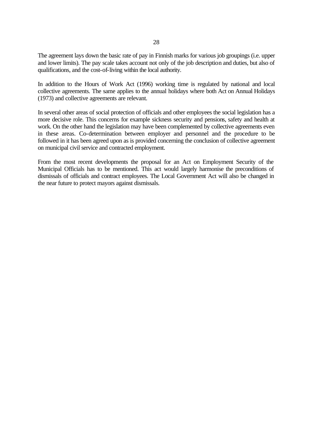The agreement lays down the basic rate of pay in Finnish marks for various job groupings (i.e. upper and lower limits). The pay scale takes account not only of the job description and duties, but also of qualifications, and the cost-of-living within the local authority.

In addition to the Hours of Work Act (1996) working time is regulated by national and local collective agreements. The same applies to the annual holidays where both Act on Annual Holidays (1973) and collective agreements are relevant.

In several other areas of social protection of officials and other employees the social legislation has a more decisive role. This concerns for example sickness security and pensions, safety and health at work. On the other hand the legislation may have been complemented by collective agreements even in these areas. Co-determination between employer and personnel and the procedure to be followed in it has been agreed upon as is provided concerning the conclusion of collective agreement on municipal civil service and contracted employment.

From the most recent developments the proposal for an Act on Employment Security of the Municipal Officials has to be mentioned. This act would largely harmonise the preconditions of dismissals of officials and contract employees. The Local Government Act will also be changed in the near future to protect mayors against dismissals.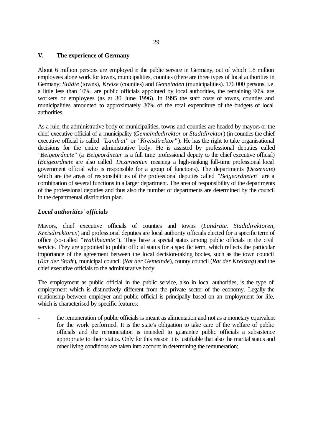## **V. The experience of Germany**

About 6 million persons are employed in the public service in Germany, out of which 1.8 million employees alone work for towns, municipalities, counties (there are three types of local authorities in Germany: *Städte* (towns), *Kreise* (counties) and *Gemeinden* (municipalities). 176 000 persons, i.e. a little less than 10%, are public officials appointed by local authorities, the remaining 90% are workers or employees (as at 30 June 1996). In 1995 the staff costs of towns, counties and municipalities amounted to approximately 30% of the total expenditure of the budgets of local authorities.

As a rule, the administrative body of municipalities, towns and counties are headed by mayors or the chief executive official of a municipality (*Gemeindedirektor* or *Stadtdirektor*) (in counties the chief executive official is called *"Landrat"* or *"Kreisdirektor"* ). He has the right to take organisational decisions for the entire administrative body. He is assisted by professional deputies called *"Beigeordnete"* (a *Beigeordneter* is a full time professional deputy to the chief executive official) (*Beigeordnete* are also called *Dezernenten* meaning a high-ranking full-time professional local government official who is responsible for a group of functions). The departments (*Dezernate*) which are the areas of responsibilities of the professional deputies called *"Beigeordneten"* are a combination of several functions in a larger department. The area of responsibility of the departments of the professional deputies and thus also the number of departments are determined by the council in the departmental distribution plan.

### *Local authorities' officials*

Mayors, chief executive officials of counties and towns (*Landräte*, *Stadtdirektoren*, *Kreisdirektoren*) and professional deputies are local authority officials elected for a specific term of office (so-called *"Wahlbeamte"*). They have a special status among public officials in the civil service. They are appointed to public official status for a specific term, which reflects the particular importance of the agreement between the local decision-taking bodies, such as the town council (*Rat der Stadt*), municipal council (*Rat der Gemeinde*), county council (*Rat der Kreistag*) and the chief executive officials to the administrative body.

The employment as public official in the public service, also in local authorities, is the type of employment which is distinctively different from the private sector of the economy. Legally the relationship between employer and public official is principally based on an employment for life, which is characterised by specific features:

the remuneration of public officials is meant as alimentation and not as a monetary equivalent for the work performed. It is the state's obligation to take care of the welfare of public officials and the remuneration is intended to guarantee public officials a subsistence appropriate to their status. Only for this reason it is justifiable that also the marital status and other living conditions are taken into account in determining the remuneration;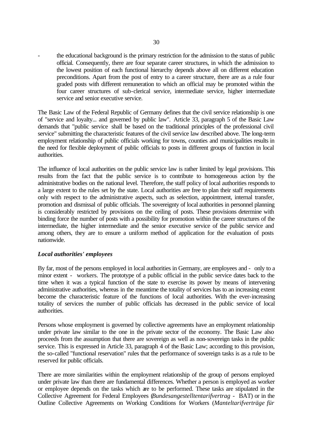- the educational background is the primary restriction for the admission to the status of public official. Consequently, there are four separate career structures, in which the admission to the lowest position of each functional hierarchy depends above all on different education preconditions. Apart from the post of entry to a career structure, there are as a rule four graded posts with different remuneration to which an official may be promoted within the four career structures of sub-clerical service, intermediate service, higher intermediate service and senior executive service.

The Basic Law of the Federal Republic of Germany defines that the civil service relationship is one of "service and loyalty... and governed by public law". Article 33, paragraph 5 of the Basic Law demands that "public service shall be based on the traditional principles of the professional civil service" submitting the characteristic features of the civil service law described above. The long-term employment relationship of public officials working for towns, counties and municipalities results in the need for flexible deployment of public officials to posts in different groups of function in local authorities.

The influence of local authorities on the public service law is rather limited by legal provisions. This results from the fact that the public service is to contribute to homogeneous action by the administrative bodies on the national level. Therefore, the staff policy of local authorities responds to a large extent to the rules set by the state. Local authorities are free to plan their staff requirements only with respect to the administrative aspects, such as selection, appointment, internal transfer, promotion and dismissal of public officials. The sovereignty of local authorities in personnel planning is considerably restricted by provisions on the ceiling of posts. These provisions determine with binding force the number of posts with a possibility for promotion within the career structures of the intermediate, the higher intermediate and the senior executive service of the public service and among others, they are to ensure a uniform method of application for the evaluation of posts nationwide.

### *Local authorities' employees*

By far, most of the persons employed in local authorities in Germany, are employees and - only to a minor extent - workers. The prototype of a public official in the public service dates back to the time when it was a typical function of the state to exercise its power by means of intervening administrative authorities, whereas in the meantime the totality of services has to an increasing extent become the characteristic feature of the functions of local authorities. With the ever-increasing totality of services the number of public officials has decreased in the public service of local authorities.

Persons whose employment is governed by collective agreements have an employment relationship under private law similar to the one in the private sector of the economy. The Basic Law also proceeds from the assumption that there are sovereign as well as non-sovereign tasks in the public service. This is expressed in Article 33, paragraph 4 of the Basic Law; according to this provision, the so-called "functional reservation" rules that the performance of sovereign tasks is as a rule to be reserved for public officials.

There are more similarities within the employment relationship of the group of persons employed under private law than there are fundamental differences. Whether a person is employed as worker or employee depends on the tasks which are to be performed. These tasks are stipulated in the Collective Agreement for Federal Employees (*Bundesangestelltentarifvertrag* - BAT) or in the Outline Collective Agreements on Working Conditions for Workers (*Manteltarifverträge für*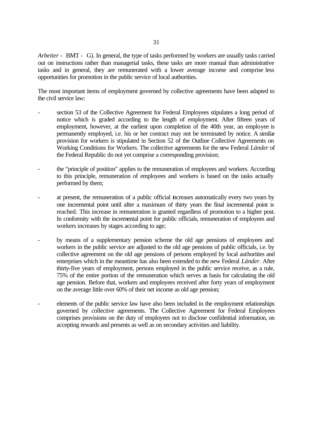*Arbeiter* - BMT - G). In general, the type of tasks performed by workers are usually tasks carried out on instructions rather than managerial tasks, these tasks are more manual than administrative tasks and in general, they are remunerated with a lower average income and comprise less opportunities for promotion in the public service of local authorities.

The most important items of employment governed by collective agreements have been adapted to the civil service law:

- section 53 of the Collective Agreement for Federal Employees stipulates a long period of notice which is graded according to the length of employment. After fifteen years of employment, however, at the earliest upon completion of the 40th year, an employee is permanently employed, i.e. his or her contract may not be terminated by notice. A similar provision for workers is stipulated in Section 52 of the Outline Collective Agreements on Working Conditions for Workers. The collective agreements for the new Federal *Länder* of the Federal Republic do not yet comprise a corresponding provision;
- the "principle of position" applies to the remuneration of employees and workers. According to this principle, remuneration of employees and workers is based on the tasks actually performed by them;
- at present, the remuneration of a public official increases automatically every two years by one incremental point until after a maximum of thirty years the final incremental point is reached. This increase in remuneration is granted regardless of promotion to a higher post. In conformity with the incremental point for public officials, remuneration of employees and workers increases by stages according to age;
- by means of a supplementary pension scheme the old age pensions of employees and workers in the public service are adjusted to the old age pensions of public officials, i.e. by collective agreement on the old age pensions of persons employed by local authorities and enterprises which in the meantime has also been extended to the new Federal *Länder*. After thirty-five years of employment, persons employed in the public service receive, as a rule, 75% of the entire portion of the remuneration which serves as basis for calculating the old age pension. Before that, workers and employees received after forty years of employment on the average little over 60% of their net income as old age pension;
- elements of the public service law have also been included in the employment relationships governed by collective agreements. The Collective Agreement for Federal Employees comprises provisions on the duty of employees not to disclose confidential information, on accepting rewards and presents as well as on secondary activities and liability.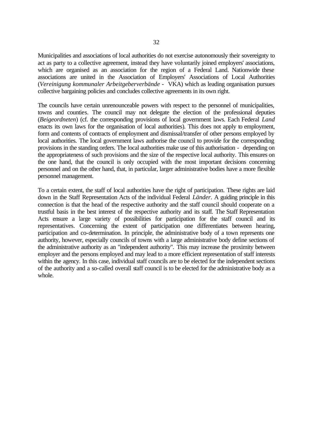Municipalities and associations of local authorities do not exercise autonomously their sovereignty to act as party to a collective agreement, instead they have voluntarily joined employers' associations, which are organised as an association for the region of a Federal Land. Nationwide these associations are united in the Association of Employers' Associations of Local Authorities (*Vereinigung kommunaler Arbeitgeberverbände* - VKA) which as leading organisation pursues collective bargaining policies and concludes collective agreements in its own right.

The councils have certain unrenounceable powers with respect to the personnel of municipalities, towns and counties. The council may not delegate the election of the professional deputies (*Beigeordneten*) (cf. the corresponding provisions of local government laws. Each Federal *Land* enacts its own laws for the organisation of local authorities). This does not apply to employment, form and contents of contracts of employment and dismissal/transfer of other persons employed by local authorities. The local government laws authorise the council to provide for the corresponding provisions in the standing orders. The local authorities make use of this authorisation - depending on the appropriateness of such provisions and the size of the respective local authority. This ensures on the one hand, that the council is only occupied with the most important decisions concerning personnel and on the other hand, that, in particular, larger administrative bodies have a more flexible personnel management.

To a certain extent, the staff of local authorities have the right of participation. These rights are laid down in the Staff Representation Acts of the individual Federal *Länder*. A guiding principle in this connection is that the head of the respective authority and the staff council should cooperate on a trustful basis in the best interest of the respective authority and its staff. The Staff Representation Acts ensure a large variety of possibilities for participation for the staff council and its representatives. Concerning the extent of participation one differentiates between hearing, participation and co-determination. In principle, the administrative body of a town represents one authority, however, especially councils of towns with a large administrative body define sections of the administrative authority as an "independent authority". This may increase the proximity between employer and the persons employed and may lead to a more efficient representation of staff interests within the agency. In this case, individual staff councils are to be elected for the independent sections of the authority and a so-called overall staff council is to be elected for the administrative body as a whole.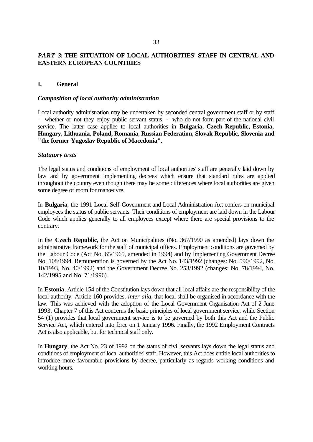# *PART 3***: THE SITUATION OF LOCAL AUTHORITIES' STAFF IN CENTRAL AND EASTERN EUROPEAN COUNTRIES**

### **I. General**

### *Composition of local authority administration*

Local authority administration may be undertaken by seconded central government staff or by staff - whether or not they enjoy public servant status - who do not form part of the national civil service. The latter case applies to local authorities in **Bulgaria, Czech Republic, Estonia, Hungary, Lithuania, Poland, Romania, Russian Federation, Slovak Republic, Slovenia and "the former Yugoslav Republic of Macedonia".**

#### *Statutory texts*

The legal status and conditions of employment of local authorities' staff are generally laid down by law and by government implementing decrees which ensure that standard rules are applied throughout the country even though there may be some differences where local authorities are given some degree of room for manœuvre.

In **Bulgaria**, the 1991 Local Self-Government and Local Administration Act confers on municipal employees the status of public servants. Their conditions of employment are laid down in the Labour Code which applies generally to all employees except where there are special provisions to the contrary.

In the **Czech Republic**, the Act on Municipalities (No. 367/1990 as amended) lays down the administrative framework for the staff of municipal offices. Employment conditions are governed by the Labour Code (Act No. 65/1965, amended in 1994) and by implementing Government Decree No. 108/1994. Remuneration is governed by the Act No. 143/1992 (changes: No. 590/1992, No. 10/1993, No. 40/1992) and the Government Decree No. 253/1992 (changes: No. 78/1994, No. 142/1995 and No. 71/1996).

In **Estonia**, Article 154 of the Constitution lays down that all local affairs are the responsibility of the local authority. Article 160 provides, *inter alia*, that local shall be organised in accordance with the law. This was achieved with the adoption of the Local Government Organisation Act of 2 June 1993. Chapter 7 of this Act concerns the basic principles of local government service, while Section 54 (1) provides that local government service is to be governed by both this Act and the Public Service Act, which entered into force on 1 January 1996. Finally, the 1992 Employment Contracts Act is also applicable, but for technical staff only.

In **Hungary**, the Act No. 23 of 1992 on the status of civil servants lays down the legal status and conditions of employment of local authorities' staff. However, this Act does entitle local authorities to introduce more favourable provisions by decree, particularly as regards working conditions and working hours.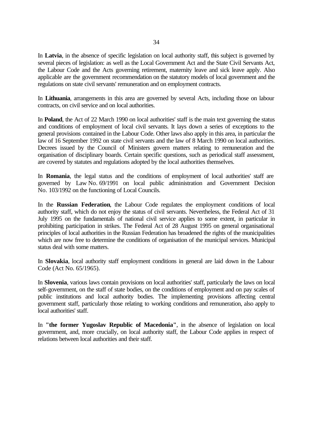In **Latvia**, in the absence of specific legislation on local authority staff, this subject is governed by several pieces of legislation: as well as the Local Government Act and the State Civil Servants Act, the Labour Code and the Acts governing retirement, maternity leave and sick leave apply. Also applicable are the government recommendation on the statutory models of local government and the regulations on state civil servants' remuneration and on employment contracts.

In **Lithuania**, arrangements in this area are governed by several Acts, including those on labour contracts, on civil service and on local authorities.

In **Poland**, the Act of 22 March 1990 on local authorities' staff is the main text governing the status and conditions of employment of local civil servants. It lays down a series of exceptions to the general provisions contained in the Labour Code. Other laws also apply in this area, in particular the law of 16 September 1992 on state civil servants and the law of 8 March 1990 on local authorities. Decrees issued by the Council of Ministers govern matters relating to remuneration and the organisation of disciplinary boards. Certain specific questions, such as periodical staff assessment, are covered by statutes and regulations adopted by the local authorities themselves.

In **Romania**, the legal status and the conditions of employment of local authorities' staff are governed by Law No. 69/1991 on local public administration and Government Decision No. 103/1992 on the functioning of Local Councils.

In the **Russian Federation**, the Labour Code regulates the employment conditions of local authority staff, which do not enjoy the status of civil servants. Nevertheless, the Federal Act of 31 July 1995 on the fundamentals of national civil service applies to some extent, in particular in prohibiting participation in strikes. The Federal Act of 28 August 1995 on general organisational principles of local authorities in the Russian Federation has broadened the rights of the municipalities which are now free to determine the conditions of organisation of the municipal services. Municipal status deal with some matters.

In **Slovakia**, local authority staff employment conditions in general are laid down in the Labour Code (Act No. 65/1965).

In **Slovenia**, various laws contain provisions on local authorities' staff, particularly the laws on local self-government, on the staff of state bodies, on the conditions of employment and on pay scales of public institutions and local authority bodies. The implementing provisions affecting central government staff, particularly those relating to working conditions and remuneration, also apply to local authorities' staff.

In **"the former Yugoslav Republic of Macedonia"**, in the absence of legislation on local government, and, more crucially, on local authority staff, the Labour Code applies in respect of relations between local authorities and their staff.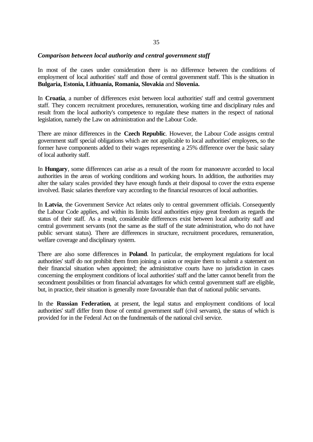#### *Comparison between local authority and central government staff*

In most of the cases under consideration there is no difference between the conditions of employment of local authorities' staff and those of central government staff. This is the situation in **Bulgaria, Estonia, Lithuania, Romania, Slovakia** and **Slovenia.**

In **Croatia**, a number of differences exist between local authorities' staff and central government staff. They concern recruitment procedures, remuneration, working time and disciplinary rules and result from the local authority's competence to regulate these matters in the respect of national legislation, namely the Law on administration and the Labour Code.

There are minor differences in the **Czech Republic**. However, the Labour Code assigns central government staff special obligations which are not applicable to local authorities' employees, so the former have components added to their wages representing a 25% difference over the basic salary of local authority staff.

In **Hungary**, some differences can arise as a result of the room for manoeuvre accorded to local authorities in the areas of working conditions and working hours. In addition, the authorities may alter the salary scales provided they have enough funds at their disposal to cover the extra expense involved. Basic salaries therefore vary according to the financial resources of local authorities.

In **Latvia**, the Government Service Act relates only to central government officials. Consequently the Labour Code applies, and within its limits local authorities enjoy great freedom as regards the status of their staff. As a result, considerable differences exist between local authority staff and central government servants (not the same as the staff of the state administration, who do not have public servant status). There are differences in structure, recruitment procedures, remuneration, welfare coverage and disciplinary system.

There are also some differences in **Poland**. In particular, the employment regulations for local authorities' staff do not prohibit them from joining a union or require them to submit a statement on their financial situation when appointed; the administrative courts have no jurisdiction in cases concerning the employment conditions of local authorities' staff and the latter cannot benefit from the secondment possibilities or from financial advantages for which central government staff are eligible, but, in practice, their situation is generally more favourable than that of national public servants.

In the **Russian Federation**, at present, the legal status and employment conditions of local authorities' staff differ from those of central government staff (civil servants), the status of which is provided for in the Federal Act on the fundmentals of the national civil service.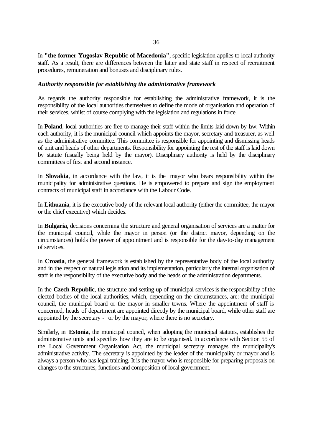In **"the former Yugoslav Republic of Macedonia"**, specific legislation applies to local authority staff. As a result, there are differences between the latter and state staff in respect of recruitment procedures, remuneration and bonuses and disciplinary rules.

### *Authority responsible for establishing the administrative framework*

As regards the authority responsible for establishing the administrative framework, it is the responsibility of the local authorities themselves to define the mode of organisation and operation of their services, whilst of course complying with the legislation and regulations in force.

In **Poland**, local authorities are free to manage their staff within the limits laid down by law. Within each authority, it is the municipal council which appoints the mayor, secretary and treasurer, as well as the administrative committee. This committee is responsible for appointing and dismissing heads of unit and heads of other departments. Responsibility for appointing the rest of the staff is laid down by statute (usually being held by the mayor). Disciplinary authority is held by the disciplinary committees of first and second instance.

In **Slovakia**, in accordance with the law, it is the mayor who bears responsibility within the municipality for administrative questions. He is empowered to prepare and sign the employment contracts of municipal staff in accordance with the Labour Code.

In **Lithuania**, it is the executive body of the relevant local authority (either the committee, the mayor or the chief executive) which decides.

In **Bulgaria**, decisions concerning the structure and general organisation of services are a matter for the municipal council, while the mayor in person (or the district mayor, depending on the circumstances) holds the power of appointment and is responsible for the day-to-day management of services.

In **Croatia**, the general framework is established by the representative body of the local authority and in the respect of natural legislation and its implementation, particularly the internal organisation of staff is the responsibility of the executive body and the heads of the administration departments.

In the **Czech Republic**, the structure and setting up of municipal services is the responsibility of the elected bodies of the local authorities, which, depending on the circumstances, are: the municipal council, the municipal board or the mayor in smaller towns. Where the appointment of staff is concerned, heads of department are appointed directly by the municipal board, while other staff are appointed by the secretary - or by the mayor, where there is no secretary.

Similarly, in **Estonia**, the municipal council, when adopting the municipal statutes, establishes the administrative units and specifies how they are to be organised. In accordance with Section 55 of the Local Government Organisation Act, the municipal secretary manages the municipality's administrative activity. The secretary is appointed by the leader of the municipality or mayor and is always a person who has legal training. It is the mayor who is responsible for preparing proposals on changes to the structures, functions and composition of local government.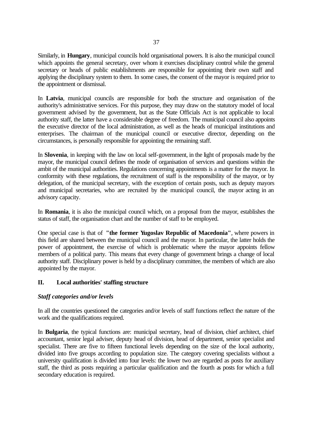Similarly, in **Hungary**, municipal councils hold organisational powers. It is also the municipal council which appoints the general secretary, over whom it exercises disciplinary control while the general secretary or heads of public establishments are responsible for appointing their own staff and applying the disciplinary system to them. In some cases, the consent of the mayor is required prior to the appointment or dismissal.

In **Latvia**, municipal councils are responsible for both the structure and organisation of the authority's administrative services. For this purpose, they may draw on the statutory model of local government advised by the government, but as the State Officials Act is not applicable to local authority staff, the latter have a considerable degree of freedom. The municipal council also appoints the executive director of the local administration, as well as the heads of municipal institutions and enterprises. The chairman of the municipal council or executive director, depending on the circumstances, is personally responsible for appointing the remaining staff.

In **Slovenia**, in keeping with the law on local self-government, in the light of proposals made by the mayor, the municipal council defines the mode of organisation of services and questions within the ambit of the municipal authorities. Regulations concerning appointments is a matter for the mayor. In conformity with these regulations, the recruitment of staff is the responsibility of the mayor, or by delegation, of the municipal secretary, with the exception of certain posts, such as deputy mayors and municipal secretaries, who are recruited by the municipal council, the mayor acting in an advisory capacity.

In **Romania**, it is also the municipal council which, on a proposal from the mayor, establishes the status of staff, the organisation chart and the number of staff to be employed.

One special case is that of **"the former Yugoslav Republic of Macedonia"**, where powers in this field are shared between the municipal council and the mayor. In particular, the latter holds the power of appointment, the exercise of which is problematic where the mayor appoints fellow members of a political party. This means that every change of government brings a change of local authority staff. Disciplinary power is held by a disciplinary committee, the members of which are also appointed by the mayor.

# **II. Local authorities' staffing structure**

# *Staff categories and/or levels*

In all the countries questioned the categories and/or levels of staff functions reflect the nature of the work and the qualifications required.

In **Bulgaria**, the typical functions are: municipal secretary, head of division, chief architect, chief accountant, senior legal adviser, deputy head of division, head of department, senior specialist and specialist. There are five to fifteen functional levels depending on the size of the local authority, divided into five groups according to population size. The category covering specialists without a university qualification is divided into four levels: the lower two are regarded as posts for auxiliary staff, the third as posts requiring a particular qualification and the fourth as posts for which a full secondary education is required.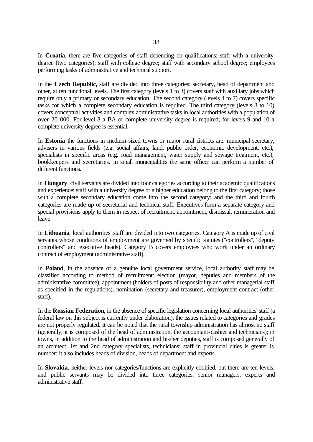In **Croatia**, there are five categories of staff depending on qualifications: staff with a university degree (two categories); staff with college degree; staff with secondary school degree; employees performing tasks of administrative and technical support.

In the **Czech Republic,** staff are divided into three categories: secretary, head of department and other, at ten functional levels. The first category (levels 1 to 3) covers staff with auxiliary jobs which require only a primary or secondary education. The second category (levels 4 to 7) covers specific tasks for which a complete secondary education is required. The third category (levels 8 to 10) covers conceptual activities and complex administrative tasks in local authorities with a population of over 20 000. For level 8 a BA or complete university degree is required; for levels 9 and 10 a complete university degree is essential.

In **Estonia** the functions in medium-sized towns or major rural districts are: municipal secretary, advisers in various fields (e.g. social affairs, land, public order, economic development, etc.), specialists in specific areas (e.g. road management, water supply and sewage treatment, etc.), bookkeepers and secretaries. In small municipalities the same officer can perform a number of different functions.

In **Hungary**, civil servants are divided into four categories according to their academic qualifications and experience: staff with a university degree or a higher education belong to the first category; those with a complete secondary education come into the second category; and the third and fourth categories are made up of secretarial and technical staff. Executives form a separate category and special provisions apply to them in respect of recruitment, appointment, dismissal, remuneration and leave.

In **Lithuania**, local authorities' staff are divided into two categories. Category A is made up of civil servants whose conditions of employment are governed by specific statutes ("controllers", "deputy controllers" and executive heads). Category B covers employees who work under an ordinary contract of employment (administrative staff).

In **Poland**, in the absence of a genuine local government service, local authority staff may be classified according to method of recruitment: election (mayor, deputies and members of the administrative committee), appointment (holders of posts of responsibility and other managerial staff as specified in the regulations), nomination (secretary and treasurer), employment contract (other staff).

In the **Russian Federation**, in the absence of specific legislation concerning local authorities' staff (a federal law on this subject is currently under elaboration), the issues related to categories and grades are not properly regulated. It can be noted that the rural township administration has almost no staff (generally, it is composed of the head of administration, the accountant-cashier and technicians); in towns, in addition to the head of administration and his/her deputies, staff is composed generally of an architect, 1st and 2nd category specialists, technicians; staff in provincial cities is greater is number: it also includes heads of division, heads of department and experts.

In **Slovakia**, neither levels nor categories/functions are explicitly codified, but there are ten levels, and public servants may be divided into three categories: senior managers, experts and administrative staff.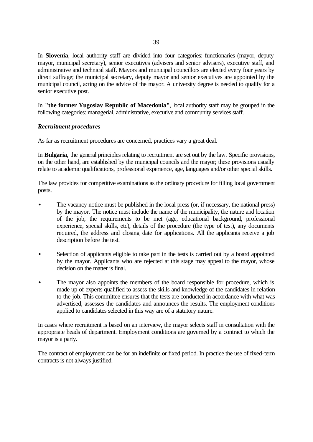In **Slovenia**, local authority staff are divided into four categories: functionaries (mayor, deputy mayor, municipal secretary), senior executives (advisers and senior advisers), executive staff, and administrative and technical staff. Mayors and municipal councillors are elected every four years by direct suffrage; the municipal secretary, deputy mayor and senior executives are appointed by the municipal council, acting on the advice of the mayor. A university degree is needed to qualify for a senior executive post.

In **"the former Yugoslav Republic of Macedonia"**, local authority staff may be grouped in the following categories: managerial, administrative, executive and community services staff.

# *Recruitment procedures*

As far as recruitment procedures are concerned, practices vary a great deal.

In **Bulgaria**, the general principles relating to recruitment are set out by the law. Specific provisions, on the other hand, are established by the municipal councils and the mayor; these provisions usually relate to academic qualifications, professional experience, age, languages and/or other special skills.

The law provides for competitive examinations as the ordinary procedure for filling local government posts.

- The vacancy notice must be published in the local press (or, if necessary, the national press) by the mayor. The notice must include the name of the municipality, the nature and location of the job, the requirements to be met (age, educational background, professional experience, special skills, etc), details of the procedure (the type of test), any documents required, the address and closing date for applications. All the applicants receive a job description before the test.
- Selection of applicants eligible to take part in the tests is carried out by a board appointed by the mayor. Applicants who are rejected at this stage may appeal to the mayor, whose decision on the matter is final.
- The mayor also appoints the members of the board responsible for procedure, which is made up of experts qualified to assess the skills and knowledge of the candidates in relation to the job. This committee ensures that the tests are conducted in accordance with what was advertised, assesses the candidates and announces the results. The employment conditions applied to candidates selected in this way are of a statutory nature.

In cases where recruitment is based on an interview, the mayor selects staff in consultation with the appropriate heads of department. Employment conditions are governed by a contract to which the mayor is a party.

The contract of employment can be for an indefinite or fixed period. In practice the use of fixed-term contracts is not always justified.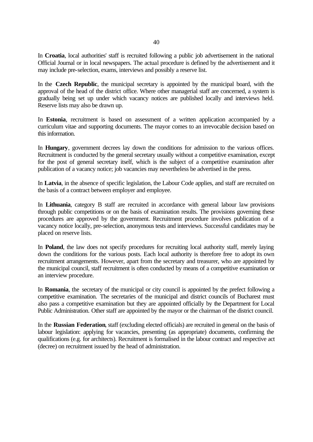In **Croatia**, local authorities' staff is recruited following a public job advertisement in the national Official Journal or in local newspapers. The actual procedure is defined by the advertisement and it may include pre-selection, exams, interviews and possibly a reserve list.

In the **Czech Republic**, the municipal secretary is appointed by the municipal board, with the approval of the head of the district office. Where other managerial staff are concerned, a system is gradually being set up under which vacancy notices are published locally and interviews held. Reserve lists may also be drawn up.

In **Estonia**, recruitment is based on assessment of a written application accompanied by a curriculum vitae and supporting documents. The mayor comes to an irrevocable decision based on this information.

In **Hungary**, government decrees lay down the conditions for admission to the various offices. Recruitment is conducted by the general secretary usually without a competitive examination, except for the post of general secretary itself, which is the subject of a competitive examination after publication of a vacancy notice; job vacancies may nevertheless be advertised in the press.

In **Latvia**, in the absence of specific legislation, the Labour Code applies, and staff are recruited on the basis of a contract between employer and employee.

In **Lithuania**, category B staff are recruited in accordance with general labour law provisions through public competitions or on the basis of examination results. The provisions governing these procedures are approved by the government. Recruitment procedure involves publication of a vacancy notice locally, pre-selection, anonymous tests and interviews. Successful candidates may be placed on reserve lists.

In **Poland**, the law does not specify procedures for recruiting local authority staff, merely laying down the conditions for the various posts. Each local authority is therefore free to adopt its own recruitment arrangements. However, apart from the secretary and treasurer, who are appointed by the municipal council, staff recruitment is often conducted by means of a competitive examination or an interview procedure.

In **Romania**, the secretary of the municipal or city council is appointed by the prefect following a competitive examination. The secretaries of the municipal and district councils of Bucharest must also pass a competitive examination but they are appointed officially by the Department for Local Public Administration. Other staff are appointed by the mayor or the chairman of the district council.

In the **Russian Federation**, staff (excluding elected officials) are recruited in general on the basis of labour legislation: applying for vacancies, presenting (as appropriate) documents, confirming the qualifications (e.g. for architects). Recruitment is formalised in the labour contract and respective act (decree) on recruitment issued by the head of administration.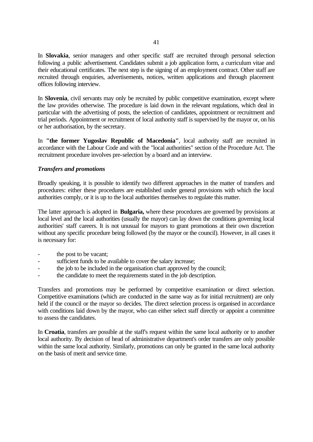In **Slovakia**, senior managers and other specific staff are recruited through personal selection following a public advertisement. Candidates submit a job application form, a curriculum vitae and their educational certificates. The next step is the signing of an employment contract. Other staff are recruited through enquiries, advertisements, notices, written applications and through placement offices following interview.

In **Slovenia**, civil servants may only be recruited by public competitive examination, except where the law provides otherwise. The procedure is laid down in the relevant regulations, which deal in particular with the advertising of posts, the selection of candidates, appointment or recruitment and trial periods. Appointment or recruitment of local authority staff is supervised by the mayor or, on his or her authorisation, by the secretary.

In **"the former Yugoslav Republic of Macedonia"**, local authority staff are recruited in accordance with the Labour Code and with the "local authorities" section of the Procedure Act. The recruitment procedure involves pre-selection by a board and an interview.

### *Transfers and promotions*

Broadly speaking, it is possible to identify two different approaches in the matter of transfers and procedures: either these procedures are established under general provisions with which the local authorities comply, or it is up to the local authorities themselves to regulate this matter.

The latter approach is adopted in **Bulgaria,** where these procedures are governed by provisions at local level and the local authorities (usually the mayor) can lay down the conditions governing local authorities' staff careers. It is not unusual for mayors to grant promotions at their own discretion without any specific procedure being followed (by the mayor or the council). However, in all cases it is necessary for:

- the post to be vacant;
- sufficient funds to be available to cover the salary increase;
- the job to be included in the organisation chart approved by the council;
- the candidate to meet the requirements stated in the job description.

Transfers and promotions may be performed by competitive examination or direct selection. Competitive examinations (which are conducted in the same way as for initial recruitment) are only held if the council or the mayor so decides. The direct selection process is organised in accordance with conditions laid down by the mayor, who can either select staff directly or appoint a committee to assess the candidates.

In **Croatia**, transfers are possible at the staff's request within the same local authority or to another local authority. By decision of head of administrative department's order transfers are only possible within the same local authority. Similarly, promotions can only be granted in the same local authority on the basis of merit and service time.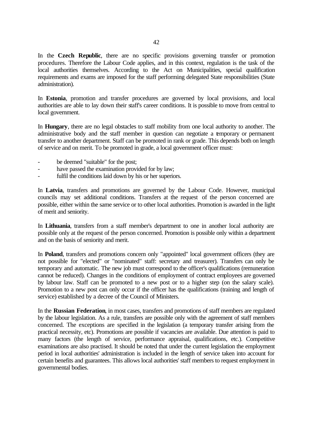In the **Czech Republic**, there are no specific provisions governing transfer or promotion procedures. Therefore the Labour Code applies, and in this context, regulation is the task of the local authorities themselves. According to the Act on Municipalities, special qualification requirements and exams are imposed for the staff performing delegated State responsibilities (State administration).

In **Estonia**, promotion and transfer procedures are governed by local provisions, and local authorities are able to lay down their staff's career conditions. It is possible to move from central to local government.

In **Hungary**, there are no legal obstacles to staff mobility from one local authority to another. The administrative body and the staff member in question can negotiate a temporary or permanent transfer to another department. Staff can be promoted in rank or grade. This depends both on length of service and on merit. To be promoted in grade, a local government officer must:

- be deemed "suitable" for the post;
- have passed the examination provided for by law;
- fulfil the conditions laid down by his or her superiors.

In **Latvia**, transfers and promotions are governed by the Labour Code. However, municipal councils may set additional conditions. Transfers at the request of the person concerned are possible, either within the same service or to other local authorities. Promotion is awarded in the light of merit and seniority.

In **Lithuania**, transfers from a staff member's department to one in another local authority are possible only at the request of the person concerned. Promotion is possible only within a department and on the basis of seniority and merit.

In **Poland**, transfers and promotions concern only "appointed" local government officers (they are not possible for "elected" or "nominated" staff: secretary and treasurer). Transfers can only be temporary and automatic. The new job must correspond to the officer's qualifications (remuneration cannot be reduced). Changes in the conditions of employment of contract employees are governed by labour law. Staff can be promoted to a new post or to a higher step (on the salary scale). Promotion to a new post can only occur if the officer has the qualifications (training and length of service) established by a decree of the Council of Ministers.

In the **Russian Federation**, in most cases, transfers and promotions of staff members are regulated by the labour legislation. As a rule, transfers are possible only with the agreement of staff members concerned. The exceptions are specified in the legislation (a temporary transfer arising from the practical necessity, etc). Promotions are possible if vacancies are available. Due attention is paid to many factors (the length of service, performance appraisal, qualifications, etc.). Competitive examinations are also practised. It should be noted that under the current legislation the employment period in local authorities' administration is included in the length of service taken into account for certain benefits and guarantees. This allows local authorities' staff members to request employment in governmental bodies.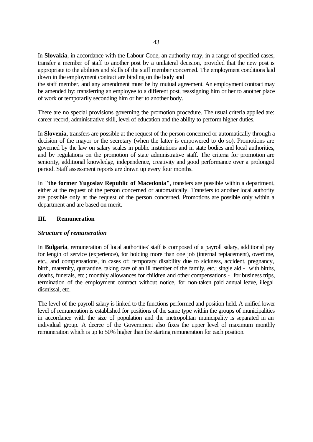In **Slovakia**, in accordance with the Labour Code, an authority may, in a range of specified cases, transfer a member of staff to another post by a unilateral decision, provided that the new post is appropriate to the abilities and skills of the staff member concerned. The employment conditions laid down in the employment contract are binding on the body and

the staff member, and any amendment must be by mutual agreement. An employment contract may be amended by: transferring an employee to a different post, reassigning him or her to another place of work or temporarily seconding him or her to another body.

There are no special provisions governing the promotion procedure. The usual criteria applied are: career record, administrative skill, level of education and the ability to perform higher duties.

In **Slovenia**, transfers are possible at the request of the person concerned or automatically through a decision of the mayor or the secretary (when the latter is empowered to do so). Promotions are governed by the law on salary scales in public institutions and in state bodies and local authorities, and by regulations on the promotion of state administrative staff. The criteria for promotion are seniority, additional knowledge, independence, creativity and good performance over a prolonged period. Staff assessment reports are drawn up every four months.

In **"the former Yugoslav Republic of Macedonia"**, transfers are possible within a department, either at the request of the person concerned or automatically. Transfers to another local authority are possible only at the request of the person concerned. Promotions are possible only within a department and are based on merit.

### **III. Remuneration**

### *Structure of remuneration*

In **Bulgaria**, remuneration of local authorities' staff is composed of a payroll salary, additional pay for length of service (experience), for holding more than one job (internal replacement), overtime, etc., and compensations, in cases of: temporary disability due to sickness, accident, pregnancy, birth, maternity, quarantine, taking care of an ill member of the family, etc.; single aid - with births, deaths, funerals, etc.; monthly allowances for children and other compensations - for business trips, termination of the employment contract without notice, for non-taken paid annual leave, illegal dismissal, etc.

The level of the payroll salary is linked to the functions performed and position held. A unified lower level of remuneration is established for positions of the same type within the groups of municipalities in accordance with the size of population and the metropolitan municipality is separated in an individual group. A decree of the Government also fixes the upper level of maximum monthly remuneration which is up to 50% higher than the starting remuneration for each position.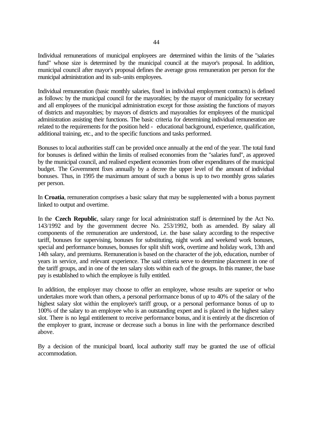Individual remunerations of municipal employees are determined within the limits of the "salaries fund" whose size is determined by the municipal council at the mayor's proposal. In addition, municipal council after mayor's proposal defines the average gross remuneration per person for the municipal administration and its sub-units employees.

Individual remuneration (basic monthly salaries, fixed in individual employment contracts) is defined as follows: by the municipal council for the mayoralties; by the mayor of municipality for secretary and all employees of the municipal administration except for those assisting the functions of mayors of districts and mayoralties; by mayors of districts and mayoralties for employees of the municipal administration assisting their functions. The basic criteria for determining individual remuneration are related to the requirements for the position held - educational background, experience, qualification, additional training, etc., and to the specific functions and tasks performed.

Bonuses to local authorities staff can be provided once annually at the end of the year. The total fund for bonuses is defined within the limits of realised economies from the "salaries fund", as approved by the municipal council, and realised expedient economies from other expenditures of the municipal budget. The Government fixes annually by a decree the upper level of the amount of individual bonuses. Thus, in 1995 the maximum amount of such a bonus is up to two monthly gross salaries per person.

In **Croatia**, remuneration comprises a basic salary that may be supplemented with a bonus payment linked to output and overtime.

In the **Czech Republic**, salary range for local administration staff is determined by the Act No. 143/1992 and by the government decree No. 253/1992, both as amended. By salary all components of the remuneration are understood, i.e. the base salary according to the respective tariff, bonuses for supervising, bonuses for substituting, night work and weekend work bonuses, special and performance bonuses, bonuses for split shift work, overtime and holiday work, 13th and 14th salary, and premiums. Remuneration is based on the character of the job, education, number of years in service, and relevant experience. The said criteria serve to determine placement in one of the tariff groups, and in one of the ten salary slots within each of the groups. In this manner, the base pay is established to which the employee is fully entitled.

In addition, the employer may choose to offer an employee, whose results are superior or who undertakes more work than others, a personal performance bonus of up to 40% of the salary of the highest salary slot within the employee's tariff group, or a personal performance bonus of up to 100% of the salary to an employee who is an outstanding expert and is placed in the highest salary slot. There is no legal entitlement to receive performance bonus, and it is entirely at the discretion of the employer to grant, increase or decrease such a bonus in line with the performance described above.

By a decision of the municipal board, local authority staff may be granted the use of official accommodation.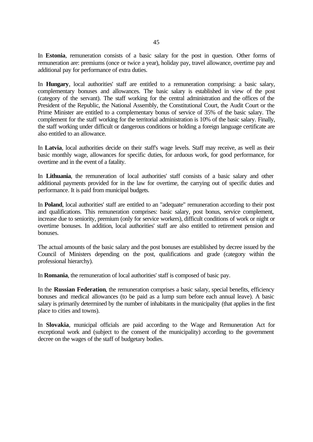In **Estonia**, remuneration consists of a basic salary for the post in question. Other forms of remuneration are: premiums (once or twice a year), holiday pay, travel allowance, overtime pay and additional pay for performance of extra duties.

In **Hungary**, local authorities' staff are entitled to a remuneration comprising: a basic salary, complementary bonuses and allowances. The basic salary is established in view of the post (category of the servant). The staff working for the central administration and the offices of the President of the Republic, the National Assembly, the Constitutional Court, the Audit Court or the Prime Minister are entitled to a complementary bonus of service of 35% of the basic salary. The complement for the staff working for the territorial administration is 10% of the basic salary. Finally, the staff working under difficult or dangerous conditions or holding a foreign language certificate are also entitled to an allowance.

In **Latvia**, local authorities decide on their staff's wage levels. Staff may receive, as well as their basic monthly wage, allowances for specific duties, for arduous work, for good performance, for overtime and in the event of a fatality.

In **Lithuania**, the remuneration of local authorities' staff consists of a basic salary and other additional payments provided for in the law for overtime, the carrying out of specific duties and performance. It is paid from municipal budgets.

In **Poland**, local authorities' staff are entitled to an "adequate" remuneration according to their post and qualifications. This remuneration comprises: basic salary, post bonus, service complement, increase due to seniority, premium (only for service workers), difficult conditions of work or night or overtime bonuses. In addition, local authorities' staff are also entitled to retirement pension and bonuses.

The actual amounts of the basic salary and the post bonuses are established by decree issued by the Council of Ministers depending on the post, qualifications and grade (category within the professional hierarchy).

In **Romania**, the remuneration of local authorities' staff is composed of basic pay.

In the **Russian Federation**, the remuneration comprises a basic salary, special benefits, efficiency bonuses and medical allowances (to be paid as a lump sum before each annual leave). A basic salary is primarily determined by the number of inhabitants in the municipality (that applies in the first place to cities and towns).

In **Slovakia**, municipal officials are paid according to the Wage and Remuneration Act for exceptional work and (subject to the consent of the municipality) according to the government decree on the wages of the staff of budgetary bodies.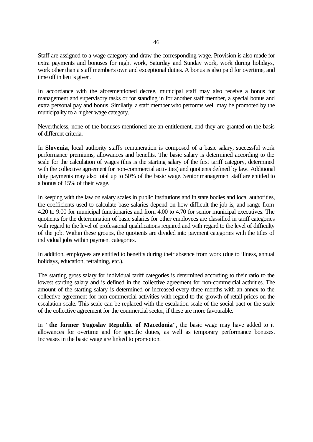Staff are assigned to a wage category and draw the corresponding wage. Provision is also made for extra payments and bonuses for night work, Saturday and Sunday work, work during holidays, work other than a staff member's own and exceptional duties. A bonus is also paid for overtime, and time off in lieu is given.

In accordance with the aforementioned decree, municipal staff may also receive a bonus for management and supervisory tasks or for standing in for another staff member, a special bonus and extra personal pay and bonus. Similarly, a staff member who performs well may be promoted by the municipality to a higher wage category.

Nevertheless, none of the bonuses mentioned are an entitlement, and they are granted on the basis of different criteria.

In **Slovenia**, local authority staff's remuneration is composed of a basic salary, successful work performance premiums, allowances and benefits. The basic salary is determined according to the scale for the calculation of wages (this is the starting salary of the first tariff category, determined with the collective agreement for non-commercial activities) and quotients defined by law. Additional duty payments may also total up to 50% of the basic wage. Senior management staff are entitled to a bonus of 15% of their wage.

In keeping with the law on salary scales in public institutions and in state bodies and local authorities, the coefficients used to calculate base salaries depend on how difficult the job is, and range from 4.20 to 9.00 for municipal functionaries and from 4.00 to 4.70 for senior municipal executives. The quotients for the determination of basic salaries for other employees are classified in tariff categories with regard to the level of professional qualifications required and with regard to the level of difficulty of the job. Within these groups, the quotients are divided into payment categories with the titles of individual jobs within payment categories.

In addition, employees are entitled to benefits during their absence from work (due to illness, annual holidays, education, retraining, etc.).

The starting gross salary for individual tariff categories is determined according to their ratio to the lowest starting salary and is defined in the collective agreement for non-commercial activities. The amount of the starting salary is determined or increased every three months with an annex to the collective agreement for non-commercial activities with regard to the growth of retail prices on the escalation scale. This scale can be replaced with the escalation scale of the social pact or the scale of the collective agreement for the commercial sector, if these are more favourable.

In **"the former Yugoslav Republic of Macedonia"**, the basic wage may have added to it allowances for overtime and for specific duties, as well as temporary performance bonuses. Increases in the basic wage are linked to promotion.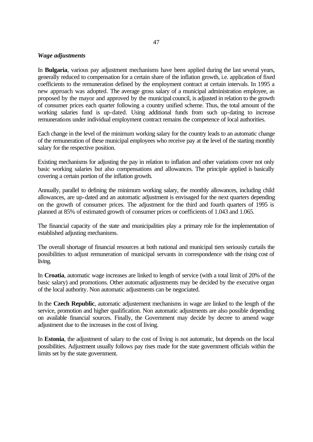### *Wage adjustments*

In **Bulgaria**, various pay adjustment mechanisms have been applied during the last several years, generally reduced to compensation for a certain share of the inflation growth, i.e. application of fixed coefficients to the remuneration defined by the employment contract at certain intervals. In 1995 a new approach was adopted. The average gross salary of a municipal administration employee, as proposed by the mayor and approved by the municipal council, is adjusted in relation to the growth of consumer prices each quarter following a country unified scheme. Thus, the total amount of the working salaries fund is up-dated. Using additional funds from such up-dating to increase remunerations under individual employment contract remains the competence of local authorities.

Each change in the level of the minimum working salary for the country leads to an automatic change of the remuneration of these municipal employees who receive pay at the level of the starting monthly salary for the respective position.

Existing mechanisms for adjusting the pay in relation to inflation and other variations cover not only basic working salaries but also compensations and allowances. The principle applied is basically covering a certain portion of the inflation growth.

Annually, parallel to defining the minimum working salary, the monthly allowances, including child allowances, are up-dated and an automatic adjustment is envisaged for the next quarters depending on the growth of consumer prices. The adjustment for the third and fourth quarters of 1995 is planned at 85% of estimated growth of consumer prices or coefficients of 1.043 and 1.065.

The financial capacity of the state and municipalities play a primary role for the implementation of established adjusting mechanisms.

The overall shortage of financial resources at both national and municipal tiers seriously curtails the possibilities to adjust remuneration of municipal servants in correspondence with the rising cost of living.

In **Croatia**, automatic wage increases are linked to length of service (with a total limit of 20% of the basic salary) and promotions. Other automatic adjustments may be decided by the executive organ of the local authority. Non automatic adjustments can be negociated.

In the **Czech Republic**, automatic adjustement mechanisms in wage are linked to the length of the service, promotion and higher qualification. Non automatic adjustments are also possible depending on available financial sources. Finally, the Government may decide by decree to amend wage adjustment due to the increases in the cost of living.

In **Estonia**, the adjustment of salary to the cost of living is not automatic, but depends on the local possibilities. Adjustment usually follows pay rises made for the state government officials within the limits set by the state government.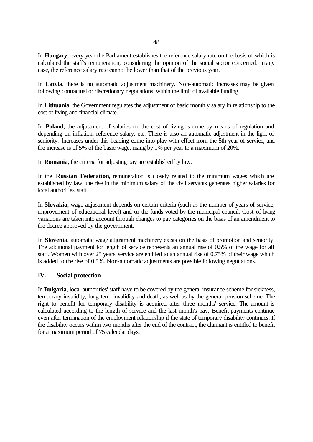In **Hungary**, every year the Parliament establishes the reference salary rate on the basis of which is calculated the staff's remuneration, considering the opinion of the social sector concerned. In any case, the reference salary rate cannot be lower than that of the previous year.

In **Latvia**, there is no automatic adjustment machinery. Non-automatic increases may be given following contractual or discretionary negotiations, within the limit of available funding.

In **Lithuania**, the Government regulates the adjustment of basic monthly salary in relationship to the cost of living and financial climate.

In **Poland**, the adjustment of salaries to the cost of living is done by means of regulation and depending on inflation, reference salary, etc. There is also an automatic adjustment in the light of seniority. Increases under this heading come into play with effect from the 5th year of service, and the increase is of 5% of the basic wage, rising by 1% per year to a maximum of 20%.

In **Romania**, the criteria for adjusting pay are established by law.

In the **Russian Federation**, remuneration is closely related to the minimum wages which are established by law: the rise in the minimum salary of the civil servants generates higher salaries for local authorities' staff.

In **Slovakia**, wage adjustment depends on certain criteria (such as the number of years of service, improvement of educational level) and on the funds voted by the municipal council. Cost-of-living variations are taken into account through changes to pay categories on the basis of an amendment to the decree approved by the government.

In **Slovenia**, automatic wage adjustment machinery exists on the basis of promotion and seniority. The additional payment for length of service represents an annual rise of 0.5% of the wage for all staff. Women with over 25 years' service are entitled to an annual rise of 0.75% of their wage which is added to the rise of 0.5%. Non-automatic adjustments are possible following negotiations.

### **IV. Social protection**

In **Bulgaria**, local authorities' staff have to be covered by the general insurance scheme for sickness, temporary invalidity, long-term invalidity and death, as well as by the general pension scheme. The right to benefit for temporary disability is acquired after three months' service. The amount is calculated according to the length of service and the last month's pay. Benefit payments continue even after termination of the employment relationship if the state of temporary disability continues. If the disability occurs within two months after the end of the contract, the claimant is entitled to benefit for a maximum period of 75 calendar days.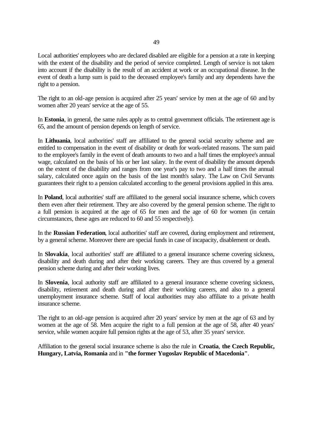Local authorities' employees who are declared disabled are eligible for a pension at a rate in keeping with the extent of the disability and the period of service completed. Length of service is not taken into account if the disability is the result of an accident at work or an occupational disease. In the event of death a lump sum is paid to the deceased employee's family and any dependents have the right to a pension.

The right to an old-age pension is acquired after 25 years' service by men at the age of 60 and by women after 20 years' service at the age of 55.

In **Estonia**, in general, the same rules apply as to central government officials. The retirement age is 65, and the amount of pension depends on length of service.

In **Lithuania**, local authorities' staff are affiliated to the general social security scheme and are entitled to compensation in the event of disability or death for work-related reasons. The sum paid to the employee's family in the event of death amounts to two and a half times the employee's annual wage, calculated on the basis of his or her last salary. In the event of disability the amount depends on the extent of the disability and ranges from one year's pay to two and a half times the annual salary, calculated once again on the basis of the last month's salary. The Law on Civil Servants guarantees their right to a pension calculated according to the general provisions applied in this area.

In **Poland**, local authorities' staff are affiliated to the general social insurance scheme, which covers them even after their retirement. They are also covered by the general pension scheme. The right to a full pension is acquired at the age of 65 for men and the age of 60 for women (in certain circumstances, these ages are reduced to 60 and 55 respectively).

In the **Russian Federation**, local authorities' staff are covered, during employment and retirement, by a general scheme. Moreover there are special funds in case of incapacity, disablement or death.

In **Slovakia**, local authorities' staff are affiliated to a general insurance scheme covering sickness, disability and death during and after their working careers. They are thus covered by a general pension scheme during and after their working lives.

In **Slovenia**, local authority staff are affiliated to a general insurance scheme covering sickness, disability, retirement and death during and after their working careers, and also to a general unemployment insurance scheme. Staff of local authorities may also affiliate to a private health insurance scheme.

The right to an old-age pension is acquired after 20 years' service by men at the age of 63 and by women at the age of 58. Men acquire the right to a full pension at the age of 58, after 40 years' service, while women acquire full pension rights at the age of 53, after 35 years' service.

Affiliation to the general social insurance scheme is also the rule in **Croatia**, **the Czech Republic, Hungary, Latvia, Romania** and in **"the former Yugoslav Republic of Macedonia"**.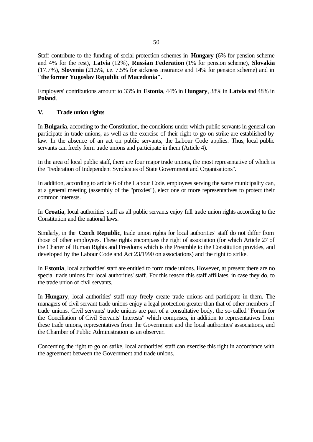Staff contribute to the funding of social protection schemes in **Hungary** (6% for pension scheme and 4% for the rest), **Latvia** (12%), **Russian Federation** (1% for pension scheme), **Slovakia** (17.7%), **Slovenia** (21.5%, i.e. 7.5% for sickness insurance and 14% for pension scheme) and in **"the former Yugoslav Republic of Macedonia"**.

Employers' contributions amount to 33% in **Estonia**, 44% in **Hungary**, 38% in **Latvia** and 48% in **Poland**.

# **V. Trade union rights**

In **Bulgaria**, according to the Constitution, the conditions under which public servants in general can participate in trade unions, as well as the exercise of their right to go on strike are established by law. In the absence of an act on public servants, the Labour Code applies. Thus, local public servants can freely form trade unions and participate in them (Article 4).

In the area of local public staff, there are four major trade unions, the most representative of which is the "Federation of Independent Syndicates of State Government and Organisations".

In addition, according to article 6 of the Labour Code, employees serving the same municipality can, at a general meeting (assembly of the "proxies"), elect one or more representatives to protect their common interests.

In **Croatia**, local authorities' staff as all public servants enjoy full trade union rights according to the Constitution and the national laws.

Similarly, in the **Czech Republic**, trade union rights for local authorities' staff do not differ from those of other employees. These rights encompass the right of association (for which Article 27 of the Charter of Human Rights and Freedoms which is the Preamble to the Constitution provides, and developed by the Labour Code and Act 23/1990 on associations) and the right to strike.

In **Estonia**, local authorities' staff are entitled to form trade unions. However, at present there are no special trade unions for local authorities' staff. For this reason this staff affiliates, in case they do, to the trade union of civil servants.

In **Hungary**, local authorities' staff may freely create trade unions and participate in them. The managers of civil servant trade unions enjoy a legal protection greater than that of other members of trade unions. Civil servants' trade unions are part of a consultative body, the so-called "Forum for the Conciliation of Civil Servants' Interests" which comprises, in addition to representatives from these trade unions, representatives from the Government and the local authorities' associations, and the Chamber of Public Administration as an observer.

Concerning the right to go on strike, local authorities' staff can exercise this right in accordance with the agreement between the Government and trade unions.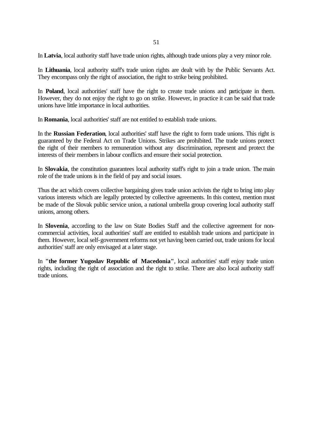In **Latvia**, local authority staff have trade union rights, although trade unions play a very minor role.

In **Lithuania**, local authority staff's trade union rights are dealt with by the Public Servants Act. They encompass only the right of association, the right to strike being prohibited.

In **Poland**, local authorities' staff have the right to create trade unions and participate in them. However, they do not enjoy the right to go on strike. However, in practice it can be said that trade unions have little importance in local authorities.

In **Romania**, local authorities' staff are not entitled to establish trade unions.

In the **Russian Federation**, local authorities' staff have the right to form trade unions. This right is guaranteed by the Federal Act on Trade Unions. Strikes are prohibited. The trade unions protect the right of their members to remuneration without any discrimination, represent and protect the interests of their members in labour conflicts and ensure their social protection.

In **Slovakia**, the constitution guarantees local authority staff's right to join a trade union. The main role of the trade unions is in the field of pay and social issues.

Thus the act which covers collective bargaining gives trade union activists the right to bring into play various interests which are legally protected by collective agreements. In this context, mention must be made of the Slovak public service union, a national umbrella group covering local authority staff unions, among others.

In **Slovenia**, according to the law on State Bodies Staff and the collective agreement for noncommercial activities, local authorities' staff are entitled to establish trade unions and participate in them. However, local self-government reforms not yet having been carried out, trade unions for local authorities' staff are only envisaged at a later stage.

In **"the former Yugoslav Republic of Macedonia"**, local authorities' staff enjoy trade union rights, including the right of association and the right to strike. There are also local authority staff trade unions.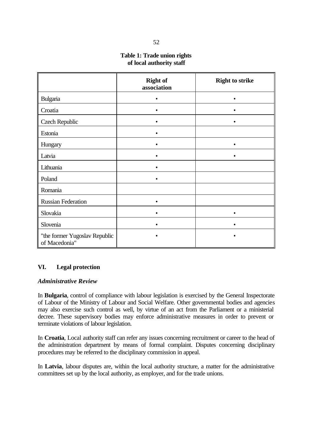# **Table 1: Trade union rights of local authority staff**

|                                                | <b>Right of</b><br>association | <b>Right to strike</b> |
|------------------------------------------------|--------------------------------|------------------------|
| Bulgaria                                       |                                |                        |
| Croatia                                        |                                |                        |
| <b>Czech Republic</b>                          | $\bullet$                      |                        |
| Estonia                                        |                                |                        |
| Hungary                                        |                                |                        |
| Latvia                                         |                                |                        |
| Lithuania                                      |                                |                        |
| Poland                                         |                                |                        |
| Romania                                        |                                |                        |
| <b>Russian Federation</b>                      |                                |                        |
| Slovakia                                       |                                |                        |
| Slovenia                                       |                                |                        |
| "the former Yugoslav Republic<br>of Macedonia" |                                |                        |

# **VI. Legal protection**

# *Administrative Review*

In **Bulgaria**, control of compliance with labour legislation is exercised by the General Inspectorate of Labour of the Ministry of Labour and Social Welfare. Other governmental bodies and agencies may also exercise such control as well, by virtue of an act from the Parliament or a ministerial decree. These supervisory bodies may enforce administrative measures in order to prevent or terminate violations of labour legislation.

In **Croatia**, Local authority staff can refer any issues concerning recruitment or career to the head of the administration department by means of formal complaint. Disputes concerning disciplinary procedures may be referred to the disciplinary commission in appeal.

In **Latvia**, labour disputes are, within the local authority structure, a matter for the administrative committees set up by the local authority, as employer, and for the trade unions.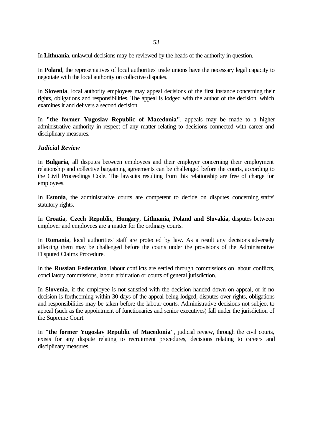In **Lithuania**, unlawful decisions may be reviewed by the heads of the authority in question.

In **Poland**, the representatives of local authorities' trade unions have the necessary legal capacity to negotiate with the local authority on collective disputes.

In **Slovenia**, local authority employees may appeal decisions of the first instance concerning their rights, obligations and responsibilities. The appeal is lodged with the author of the decision, which examines it and delivers a second decision.

In **"the former Yugoslav Republic of Macedonia"**, appeals may be made to a higher administrative authority in respect of any matter relating to decisions connected with career and disciplinary measures.

### *Judicial Review*

In **Bulgaria**, all disputes between employees and their employer concerning their employment relationship and collective bargaining agreements can be challenged before the courts, according to the Civil Proceedings Code. The lawsuits resulting from this relationship are free of charge for employees.

In **Estonia**, the administrative courts are competent to decide on disputes concerning staffs' statutory rights.

In **Croatia**, **Czech Republic**, **Hungary**, **Lithuania, Poland and Slovakia**, disputes between employer and employees are a matter for the ordinary courts.

In **Romania**, local authorities' staff are protected by law. As a result any decisions adversely affecting them may be challenged before the courts under the provisions of the Administrative Disputed Claims Procedure.

In the **Russian Federation**, labour conflicts are settled through commissions on labour conflicts, conciliatory commissions, labour arbitration or courts of general jurisdiction.

In **Slovenia**, if the employee is not satisfied with the decision handed down on appeal, or if no decision is forthcoming within 30 days of the appeal being lodged, disputes over rights, obligations and responsibilities may be taken before the labour courts. Administrative decisions not subject to appeal (such as the appointment of functionaries and senior executives) fall under the jurisdiction of the Supreme Court.

In **"the former Yugoslav Republic of Macedonia"**, judicial review, through the civil courts, exists for any dispute relating to recruitment procedures, decisions relating to careers and disciplinary measures.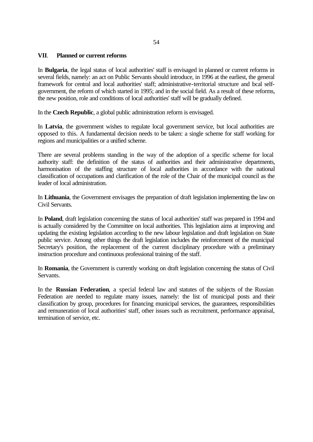### **VII**. **Planned or current reforms**

In **Bulgaria**, the legal status of local authorities' staff is envisaged in planned or current reforms in several fields, namely: an act on Public Servants should introduce, in 1996 at the earliest, the general framework for central and local authorities' staff; administrative-territorial structure and local selfgovernment, the reform of which started in 1995; and in the social field. As a result of these reforms, the new position, role and conditions of local authorities' staff will be gradually defined.

In the **Czech Republic**, a global public administration reform is envisaged.

In **Latvia**, the government wishes to regulate local government service, but local authorities are opposed to this. A fundamental decision needs to be taken: a single scheme for staff working for regions and municipalities or a unified scheme.

There are several problems standing in the way of the adoption of a specific scheme for local authority staff: the definition of the status of authorities and their administrative departments, harmonisation of the staffing structure of local authorities in accordance with the national classification of occupations and clarification of the role of the Chair of the municipal council as the leader of local administration.

In **Lithuania**, the Government envisages the preparation of draft legislation implementing the law on Civil Servants.

In **Poland**, draft legislation concerning the status of local authorities' staff was prepared in 1994 and is actually considered by the Committee on local authorities. This legislation aims at improving and updating the existing legislation according to the new labour legislation and draft legislation on State public service. Among other things the draft legislation includes the reinforcement of the municipal Secretary's position, the replacement of the current disciplinary procedure with a preliminary instruction procedure and continuous professional training of the staff.

In **Romania**, the Government is currently working on draft legislation concerning the status of Civil Servants.

In the **Russian Federation**, a special federal law and statutes of the subjects of the Russian Federation are needed to regulate many issues, namely: the list of municipal posts and their classification by group, procedures for financing municipal services, the guarantees, responsibilities and remuneration of local authorities' staff, other issues such as recruitment, performance appraisal, termination of service, etc.